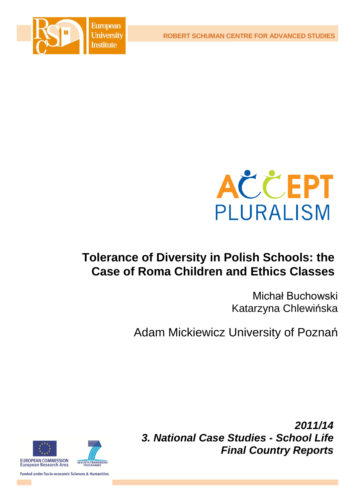**ROBERT SCHUMAN CENTRE FOR ADVANCED STUDIES**





# **Tolerance of Diversity in Polish Schools: the Case of Roma Children and Ethics Classes**

Michał Buchowski Katarzyna Chlewińska

Adam Mickiewicz University of Poznań



*2011/14 3. National Case Studies - School Life Final Country Reports*

**Funded under Socio-economic Sciences & Humanities**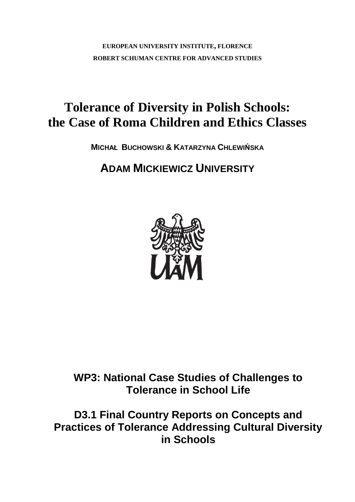**EUROPEAN UNIVERSITY INSTITUTE, FLORENCE ROBERT SCHUMAN CENTRE FOR ADVANCED STUDIES**

# **Tolerance of Diversity in Polish Schools: the Case of Roma Children and Ethics Classes**

**MICHAŁ BUCHOWSKI & KATARZYNA CHLEWIŃSKA**

## **ADAM MICKIEWICZ UNIVERSITY**



## **WP3: National Case Studies of Challenges to Tolerance in School Life**

**D3.1 Final Country Reports on Concepts and Practices of Tolerance Addressing Cultural Diversity in Schools**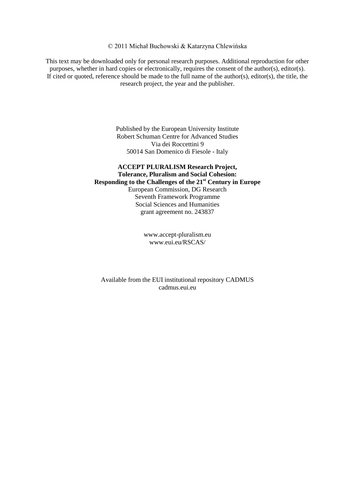© 2011 Michał Buchowski & Katarzyna Chlewińska

This text may be downloaded only for personal research purposes. Additional reproduction for other purposes, whether in hard copies or electronically, requires the consent of the author(s), editor(s). If cited or quoted, reference should be made to the full name of the author(s), editor(s), the title, the research project, the year and the publisher.

> Published by the European University Institute Robert Schuman Centre for Advanced Studies Via dei Roccettini 9 50014 San Domenico di Fiesole - Italy

## **ACCEPT PLURALISM Research Project, Tolerance, Pluralism and Social Cohesion: Responding to the Challenges of the 21st Century in Europe**  European Commission, DG Research Seventh Framework Programme Social Sciences and Humanities grant agreement no. 243837

[www.accept-pluralism.eu](http://www.accept-pluralism.eu/) [www.eui.eu/RSCAS/](http://www.eui.eu/RSCAS/)

Available from the EUI institutional repository CADMUS cadmus.eui.eu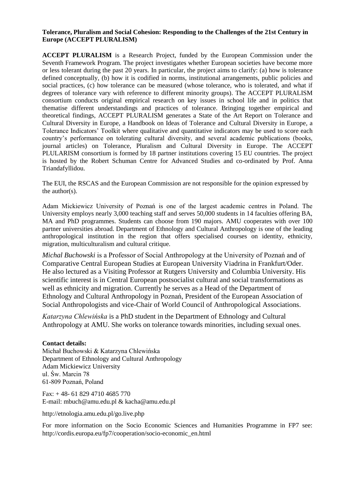#### **Tolerance, Pluralism and Social Cohesion: Responding to the Challenges of the 21st Century in Europe (ACCEPT PLURALISM)**

**ACCEPT PLURALISM** is a Research Project, funded by the European Commission under the Seventh Framework Program. The project investigates whether European societies have become more or less tolerant during the past 20 years. In particular, the project aims to clarify: (a) how is tolerance defined conceptually, (b) how it is codified in norms, institutional arrangements, public policies and social practices, (c) how tolerance can be measured (whose tolerance, who is tolerated, and what if degrees of tolerance vary with reference to different minority groups). The ACCEPT PLURALISM consortium conducts original empirical research on key issues in school life and in politics that thematise different understandings and practices of tolerance. Bringing together empirical and theoretical findings, ACCEPT PLURALISM generates a State of the Art Report on Tolerance and Cultural Diversity in Europe, a Handbook on Ideas of Tolerance and Cultural Diversity in Europe, a Tolerance Indicators' Toolkit where qualitative and quantitative indicators may be used to score each country's performance on tolerating cultural diversity, and several academic publications (books, journal articles) on Tolerance, Pluralism and Cultural Diversity in Europe. The ACCEPT PLULARISM consortium is formed by 18 partner institutions covering 15 EU countries. The project is hosted by the Robert Schuman Centre for Advanced Studies and co-ordinated by Prof. Anna Triandafyllidou.

The EUI, the RSCAS and the European Commission are not responsible for the opinion expressed by the author(s).

Adam Mickiewicz University of Poznań is one of the largest academic centres in Poland. The University employs nearly 3,000 teaching staff and serves 50,000 students in 14 faculties offering BA, MA and PhD programmes. Students can choose from 190 majors. AMU cooperates with over 100 partner universities abroad. Department of Ethnology and Cultural Anthropology is one of the leading anthropological institution in the region that offers specialised courses on identity, ethnicity, migration, multiculturalism and cultural critique.

*Michal Buchowski* is a Professor of Social Anthropology at the University of Poznań and of Comparative Central European Studies at European University Viadrina in Frankfurt/Oder. He also lectured as a Visiting Professor at Rutgers University and Columbia University. His scientific interest is in Central European postsocialist cultural and social transformations as well as ethnicity and migration. Currently he serves as a Head of the Department of Ethnology and Cultural Anthropology in Poznań, President of the European Association of Social Anthropologists and vice-Chair of World Council of Anthropological Associations.

*Katarzyna Chlewińska* is a PhD student in the Department of Ethnology and Cultural Anthropology at AMU. She works on tolerance towards minorities, including sexual ones.

#### **Contact details:**

Michał Buchowski & Katarzyna Chlewińska Department of Ethnology and Cultural Anthropology Adam Mickiewicz University ul. Św. Marcin 78 61-809 Poznań, Poland

Fax: + 48- 61 829 4710 4685 770 E-mail: [mbuch@amu.edu.pl](mailto:mbuch@amu.edu.pl) & kacha@amu.edu.pl

http://etnologia.amu.edu.pl/go.live.php

For more information on the Socio Economic Sciences and Humanities Programme in FP7 see: [http://cordis.europa.eu/fp7/cooperation/socio-economic\\_en.html](http://cordis.europa.eu/fp7/cooperation/socio-economic_en.html)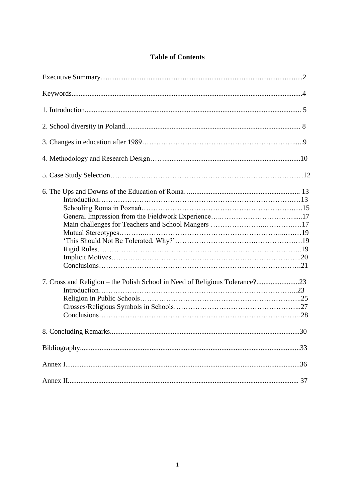## **Table of Contents**

| 7. Cross and Religion – the Polish School in Need of Religious Tolerance?23 |
|-----------------------------------------------------------------------------|
|                                                                             |
|                                                                             |
|                                                                             |
|                                                                             |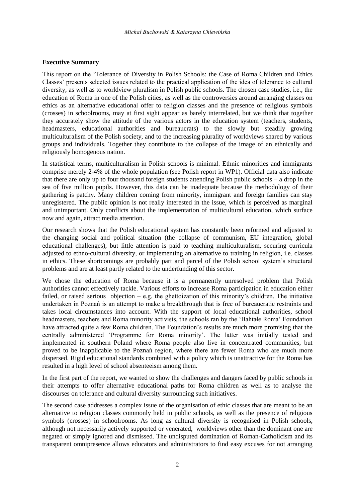## **Executive Summary**

This report on the 'Tolerance of Diversity in Polish Schools: the Case of Roma Children and Ethics Classes' presents selected issues related to the practical application of the idea of tolerance to cultural diversity, as well as to worldview pluralism in Polish public schools. The chosen case studies, i.e., the education of Roma in one of the Polish cities, as well as the controversies around arranging classes on ethics as an alternative educational offer to religion classes and the presence of religious symbols (crosses) in schoolrooms, may at first sight appear as barely interrelated, but we think that together they accurately show the attitude of the various actors in the education system (teachers, students, headmasters, educational authorities and bureaucrats) to the slowly but steadily growing multiculturalism of the Polish society, and to the increasing plurality of worldviews shared by various groups and individuals. Together they contribute to the collapse of the image of an ethnically and religiously homogenous nation.

In statistical terms, multiculturalism in Polish schools is minimal. Ethnic minorities and immigrants comprise merely 2-4% of the whole population (see Polish report in WP1). Official data also indicate that there are only up to four thousand foreign students attending Polish public schools – a drop in the sea of five million pupils. However, this data can be inadequate because the methodology of their gathering is patchy. Many children coming from minority, immigrant and foreign families can stay unregistered. The public opinion is not really interested in the issue, which is perceived as marginal and unimportant. Only conflicts about the implementation of multicultural education, which surface now and again, attract media attention.

Our research shows that the Polish educational system has constantly been reformed and adjusted to the changing social and political situation (the collapse of communism, EU integration, global educational challenges), but little attention is paid to teaching multiculturalism, securing curricula adjusted to ethno-cultural diversity, or implementing an alternative to training in religion, i.e. classes in ethics. These shortcomings are probably part and parcel of the Polish school system's structural problems and are at least partly related to the underfunding of this sector.

We chose the education of Roma because it is a permanently unresolved problem that Polish authorities cannot effectively tackle. Various efforts to increase Roma participation in education either failed, or raised serious objection – e.g. the ghettoization of this minority's children. The initiative undertaken in Poznań is an attempt to make a breakthrough that is free of bureaucratic restraints and takes local circumstances into account. With the support of local educational authorities, school headmasters, teachers and Roma minority activists, the schools ran by the 'Bahtałe Roma' Foundation have attracted quite a few Roma children. The Foundation's results are much more promising that the centrally administered 'Programme for Roma minority'. The latter was initially tested and implemented in southern Poland where Roma people also live in concentrated communities, but proved to be inapplicable to the Poznań region, where there are fewer Roma who are much more dispersed. Rigid educational standards combined with a policy which is unattractive for the Roma has resulted in a high level of school absenteeism among them.

In the first part of the report, we wanted to show the challenges and dangers faced by public schools in their attempts to offer alternative educational paths for Roma children as well as to analyse the discourses on tolerance and cultural diversity surrounding such initiatives.

The second case addresses a complex issue of the organisation of ethic classes that are meant to be an alternative to religion classes commonly held in public schools, as well as the presence of religious symbols (crosses) in schoolrooms. As long as cultural diversity is recognised in Polish schools, although not necessarily actively supported or venerated, worldviews other than the dominant one are negated or simply ignored and dismissed. The undisputed domination of Roman-Catholicism and its transparent omnipresence allows educators and administrators to find easy excuses for not arranging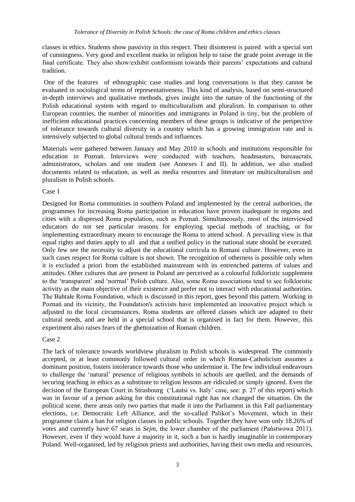classes in ethics. Students show passivity in this respect. Their disinterest is paired with a special sort of cunningness. Very good and excellent marks in religion help to raise the grade point average in the final certificate. They also show/exhibit conformism towards their parents' expectations and cultural tradition.

One of the features of ethnographic case studies and long conversations is that they cannot be evaluated in sociological terms of representativeness. This kind of analysis, based on semi-structured in-depth interviews and qualitative methods, gives insight into the nature of the functioning of the Polish educational system with regard to multiculturalism and pluralism. In comparison to other European countries, the number of minorities and immigrants in Poland is tiny, but the problem of inefficient educational practices concerning members of these groups is indicative of the perspective of tolerance towards cultural diversity in a country which has a growing immigration rate and is intensively subjected to global cultural trends and influences.

Materials were gathered between January and May 2010 in schools and institutions responsible for education in Poznań. Interviews were conducted with teachers, headmasters, bureaucrats, administrators, scholars and one student (see Annexes I and II). In addition, we also studied documents related to education, as well as media resources and literature on multiculturalism and pluralism in Polish schools.

#### Case 1

Designed for Roma communities in southern Poland and implemented by the central authorities, the programmes for increasing Roma participation in education have proven inadequate in regions and cities with a dispersed Roma population, such as Poznań. Simultaneously, most of the interviewed educators do not see particular reasons for employing special methods of teaching, or for implementing extraordinary means to encourage the Roma to attend school. A prevailing view is that equal rights and duties apply to all and that a unified policy in the national state should be executed. Only few see the necessity to adjust the educational curricula to Romani culture. However, even in such cases respect for Roma culture is not shown. The recognition of otherness is possible only when it is excluded a priori from the established mainstream with its entrenched patterns of values and attitudes. Other cultures that are present in Poland are perceived as a colourful folkloristic supplement to the 'transparent' and 'normal' Polish culture. Also, some Roma associations tend to see folkloristic activity as the main objective of their existence and prefer not to interact with educational authorities. The Bahtałe Roma Foundation, which is discussed in this report, goes beyond this pattern. Working in Poznań and its vicinity, the Foundation's activists have implemented an innovative project which is adjusted to the local circumstances. Roma students are offered classes which are adapted to their cultural needs, and are held in a special school that is organised in fact for them. However, this experiment also raises fears of the ghettoization of Romani children.

#### Case 2

The lack of tolerance towards worldview pluralism in Polish schools is widespread. The commonly accepted, or at least commonly followed cultural order in which Roman-Catholicism assumes a dominant position, fosters intolerance towards those who undermine it. The few individual endeavours to challenge the 'natural' presence of religious symbols in schools are quelled, and the demands of securing teaching in ethics as a substitute to religion lessons are ridiculed or simply ignored. Even the decision of the European Court in Strasbourg ('Lautsi vs. Italy' case, see: p. 27 of this report) which was in favour of a person asking for this constitutional right has not changed the situation. On the political scene, there areas only two parties that made it into the Parliament in this Fall parliamentary elections, i.e. Democratic Left Alliance, and the so-called Palikot's Movement, which in their programme claim a ban for religion classes in public schools. Together they have won only 18.26% of votes and currently have 67 seats in *Sejm*, the lower chamber of the parliament (Państwowa 2011). However, even if they would have a majority in it, such a ban is hardly imaginable in contemporary Poland. Well-organised, led by religious priests and authorities, having their own media and resources,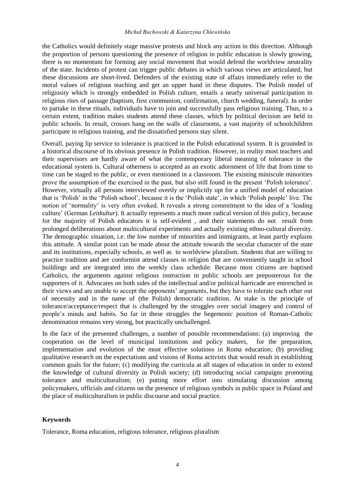#### *Michał Buchowski & Katarzyna Chlewińska*

the Catholics would definitely stage massive protests and block any action in this direction. Although the proportion of persons questioning the presence of religion in public education is slowly growing, there is no momentum for forming any social movement that would defend the worldview neutrality of the state. Incidents of protest can trigger public debates in which various views are articulated, but these discussions are short-lived. Defenders of the existing state of affairs immediately refer to the moral values of religious teaching and get an upper hand in these disputes. The Polish model of religiosity which is strongly embedded in Polish culture, entails a nearly universal participation in religious rites of passage (baptism, first communion, confirmation, church wedding, funeral). In order to partake in these rituals, individuals have to join and successfully pass religious training. Thus, to a certain extent, tradition makes students attend these classes, which by political decision are held in public schools. In result, crosses hang on the walls of classrooms, a vast majority of schoolchildren participate in religious training, and the dissatisfied persons stay silent.

Overall, paying lip service to tolerance is practiced in the Polish educational system. It is grounded in a historical discourse of its obvious presence in Polish tradition. However, in reality most teachers and their supervisors are hardly aware of what the contemporary liberal meaning of tolerance in the educational system is. Cultural otherness is accepted as an exotic adornment of life that from time to time can be staged to the public, or even mentioned in a classroom. The existing miniscule minorities prove the assumption of the exercised in the past, but also still found in the present 'Polish tolerance'. However, virtually all persons interviewed overtly or implicitly opt for a unified model of education that is 'Polish' in the 'Polish school', because it is the 'Polish state', in which 'Polish people' live. The notion of 'normality' is very often evoked. It reveals a strong commitment to the idea of a 'leading culture' (German *Leitkultur*). It actually represents a much more radical version of this policy, because for the majority of Polish educators it is self-evident , and their statements do not result from prolonged deliberations about multicultural experiments and actually existing ethno-cultural diversity. The demographic situation, i.e. the low number of minorities and immigrants, at least partly explains this attitude. A similar point can be made about the attitude towards the secular character of the state and its institutions, especially schools, as well as to worldview pluralism. Students that are willing to practice tradition and are conformist attend classes in religion that are conveniently taught in school buildings and are integrated into the weekly class schedule. Because most citizens are baptised Catholics, the arguments against religious instruction in public schools are preposterous for the supporters of it. Advocates on both sides of the intellectual and/or political barricade are entrenched in their views and are unable to accept the opponents' arguments, but they have to tolerate each other out of necessity and in the name of (the Polish) democratic tradition. At stake is the principle of tolerance/acceptance/respect that is challenged by the struggles over social imagery and control of people's minds and habits. So far in these struggles the hegemonic position of Roman-Catholic denomination remains very strong, but practically unchallenged.

In the face of the presented challenges, a number of possible recommendations: (a) improving the cooperation on the level of municipal institutions and policy makers, for the preparation, implementation and evolution of the most effective solutions in Roma education; (b) providing qualitative research on the expectations and visions of Roma activists that would result in establishing common goals for the future; (c) modifying the curricula at all stages of education in order to extend the knowledge of cultural diversity in Polish society; (d) introducing social campaigns promoting tolerance and multiculturalism; (e) putting more effort into stimulating discussion among policymakers, officials and citizens on the presence of religious symbols in public space in Poland and the place of multiculturalism in public discourse and social practice.

#### **Keywords**

Tolerance, Roma education, religious tolerance, religious pluralism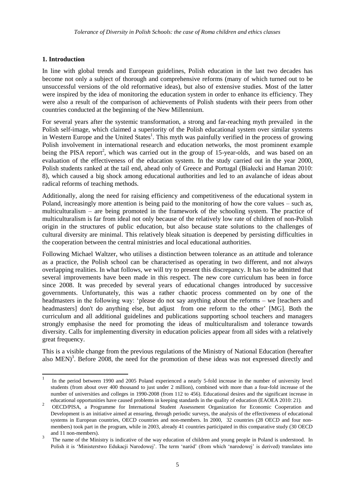## **1. Introduction**

 $\overline{\phantom{a}}$ 

In line with global trends and European guidelines, Polish education in the last two decades has become not only a subject of thorough and comprehensive reforms (many of which turned out to be unsuccessful versions of the old reformative ideas), but also of extensive studies. Most of the latter were inspired by the idea of monitoring the education system in order to enhance its efficiency. They were also a result of the comparison of achievements of Polish students with their peers from other countries conducted at the beginning of the New Millennium.

For several years after the systemic transformation, a strong and far-reaching myth prevailed in the Polish self-image, which claimed a superiority of the Polish educational system over similar systems in Western Europe and the United States<sup>1</sup>. This myth was painfully verified in the process of growing Polish involvement in international research and education networks, the most prominent example being the PISA report<sup>2</sup>, which was carried out in the group of 15-year-olds, and was based on an evaluation of the effectiveness of the education system. In the study carried out in the year 2000, Polish students ranked at the tail end, ahead only of Greece and Portugal (Białecki and Haman 2010: 8), which caused a big shock among educational authorities and led to an avalanche of ideas about radical reforms of teaching methods.

Additionally, along the need for raising efficiency and competitiveness of the educational system in Poland, increasingly more attention is being paid to the monitoring of how the core values – such as, multiculturalism – are being promoted in the framework of the schooling system. The practice of multiculturalism is far from ideal not only because of the relatively low rate of children of non-Polish origin in the structures of public education, but also because state solutions to the challenges of cultural diversity are minimal. This relatively bleak situation is deepened by persisting difficulties in the cooperation between the central ministries and local educational authorities.

Following Michael Waltzer, who utilises a distinction between tolerance as an attitude and tolerance as a practice, the Polish school can be characterised as operating in two different, and not always overlapping realities. In what follows, we will try to present this discrepancy. It has to be admitted that several improvements have been made in this respect. The new core curriculum has been in force since 2008. It was preceded by several years of educational changes introduced by successive governments. Unfortunately, this was a rather chaotic process commented on by one of the headmasters in the following way: 'please do not say anything about the reforms – we [teachers and headmasters] don't do anything else, but adjust from one reform to the other' [MG]. Both the curriculum and all additional guidelines and publications supporting school teachers and managers strongly emphasise the need for promoting the ideas of multiculturalism and tolerance towards diversity. Calls for implementing diversity in education policies appear from all sides with a relatively great frequency.

This is a visible change from the previous regulations of the Ministry of National Education (hereafter also MEN)<sup>3</sup>. Before 2008, the need for the promotion of these ideas was not expressed directly and

<sup>1</sup> In the period between 1990 and 2005 Poland experienced a nearly 5-fold increase in the number of university level students (from about over 400 thousand to just under 2 million), combined with more than a four-fold increase of the number of universities and colleges in 1990-2008 (from 112 to 456). Educational desires and the significant increase in educational opportunities have caused problems in keeping standards in the quality of education (EAOEA 2010: 21).

 $2^{\circ}$ OECD/PISA, a Programme for International Student Assessment Organization for Economic Cooperation and Development is an initiative aimed at ensuring, through periodic surveys, the analysis of the effectiveness of educational systems in European countries, OECD countries and non-members. In 2000, 32 countries (28 OECD and four nonmembers) took part in the program, while in 2003, already 41 countries participated in this comparative study (30 OECD and 11 non-members). 3

The name of the Ministry is indicative of the way education of children and young people in Poland is understood. In Polish it is 'Ministerstwo Edukacji Narodowej'. The term 'naród' (from which 'narodowej' is derived) translates into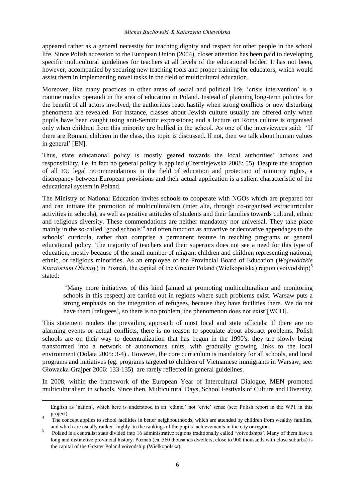#### *Michał Buchowski & Katarzyna Chlewińska*

appeared rather as a general necessity for teaching dignity and respect for other people in the school life. Since Polish accession to the European Union (2004), closer attention has been paid to developing specific multicultural guidelines for teachers at all levels of the educational ladder. It has not been, however, accompanied by securing new teaching tools and proper training for educators, which would assist them in implementing novel tasks in the field of multicultural education.

Moreover, like many practices in other areas of social and political life, 'crisis intervention' is a routine modus operandi in the area of education in Poland. Instead of planning long-term policies for the benefit of all actors involved, the authorities react hastily when strong conflicts or new disturbing phenomena are revealed. For instance, classes about Jewish culture usually are offered only when pupils have been caught using anti-Semitic expressions; and a lecture on Roma culture is organised only when children from this minority are bullied in the school. As one of the interviewees said: 'If there are Romani children in the class, this topic is discussed. If not, then we talk about human values in general' [EN].

Thus, state educational policy is mostly geared towards the local authorities' actions and responsibility, i.e. in fact no general policy is applied (Czerniejewska 2008: 55). Despite the adoption of all EU legal recommendations in the field of education and protection of minority rights, a discrepancy between European provisions and their actual application is a salient characteristic of the educational system in Poland.

The Ministry of National Education invites schools to cooperate with NGOs which are prepared for and can initiate the promotion of multiculturalism (inter alia, through co-organised extracurricular activities in schools), as well as positive attitudes of students and their families towards cultural, ethnic and religious diversity. These commendations are neither mandatory nor universal. They take place mainly in the so-called 'good schools<sup>24</sup> and often function as attractive or decorative appendages to the schools' curricula, rather than comprise a permanent feature in teaching programs or general educational policy. The majority of teachers and their superiors does not see a need for this type of education, mostly because of the small number of migrant children and children representing national, ethnic, or religious minorities. As an employee of the Provincial Board of Education (*Wojewódzkie Kuratorium Oświaty*) in Poznań, the capital of the Greater Poland (Wielkopolska) region (voivodship)<sup>5</sup> stated:

'Many more initiatives of this kind [aimed at promoting multiculturalism and monitoring schools in this respect] are carried out in regions where such problems exist. Warsaw puts a strong emphasis on the integration of refugees, because they have facilities there. We do not have them [refugees], so there is no problem, the phenomenon does not exist'[WCH].

This statement renders the prevailing approach of most local and state officials: If there are no alarming events or actual conflicts, there is no reason to speculate about abstract problems. Polish schools are on their way to decentralization that has begun in the 1990's, they are slowly being transformed into a network of autonomous units, with gradually growing links to the local environment (Dolata 2005: 3-4) . However, the core curriculum is mandatory for all schools, and local programs and initiatives (eg. programs targeted to children of Vietnamese immigrants in Warsaw, see: Głowacka-Grajper 2006: 133-135) are rarely reflected in general guidelines.

In 2008, within the framework of the European Year of Intercultural Dialogue, MEN promoted multiculturalism in schools. Since then, Multicultural Days, School Festivals of Culture and Diversity,

l

English as 'nation', which here is understood in an 'ethnic,' not 'civic' sense (see: Polish report in the WP1 in this project). 4

The concept applies to school facilities in better neighbourhoods, which are attended by children from wealthy families, and which are usually ranked highly in the rankings of the pupils' achievements in the city or region.

<sup>5</sup> Poland is a centralist state divided into 16 administrative regions traditionally called 'voivodships'. Many of them have a long and distinctive provincial history. Poznań (ca. 560 thousands dwellers, close to 900 thousands with close suburbs) is the capital of the Greater Poland voivodship (Wielkopolska).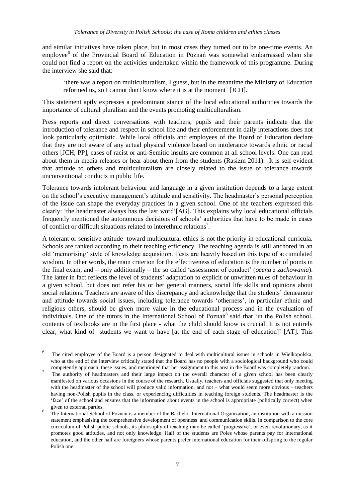and similar initiatives have taken place, but in most cases they turned out to be one-time events. An employee<sup>6</sup> of the Provincial Board of Education in Poznań was somewhat embarrassed when she could not find a report on the activities undertaken within the framework of this programme. During the interview she said that:

'there was a report on multiculturalism, I guess, but in the meantime the Ministry of Education reformed us, so I cannot don't know where it is at the moment' [JCH].

This statement aptly expresses a predominant stance of the local educational authorities towards the importance of cultural pluralism and the events promoting multiculturalism.

Press reports and direct conversations with teachers, pupils and their parents indicate that the introduction of tolerance and respect in school life and their enforcement in daily interactions does not look particularly optimistic. While local officials and employees of the Board of Education declare that they are not aware of any actual physical violence based on intolerance towards ethnic or racial others [JCH, PP], cases of racist or anti-Semitic insults are common at all school levels. One can read about them in media releases or hear about them from the students (Rasizm 2011). It is self-evident that attitude to others and multiculturalism are closely related to the issue of tolerance towards unconventional conducts in public life.

Tolerance towards intolerant behaviour and language in a given institution depends to a large extent on the school's executive management's attitude and sensitivity. The headmaster's personal perception of the issue can shape the everyday practices in a given school. One of the teachers expressed this clearly: 'the headmaster always has the last word'[AG]. This explains why local educational officials frequently mentioned the autonomous decisions of schools' authorities that have to be made in cases of conflict or difficult situations related to interethnic relations<sup>7</sup>.

A tolerant or sensitive attitude toward multicultural ethics is not the priority in educational curricula. Schools are ranked according to their teaching efficiency. The teaching agenda is still anchored in an old 'memorising' style of knowledge acquisition. Tests are heavily based on this type of accumulated wisdom. In other words, the main criterion for the effectiveness of education is the number of points in the final exam, and – only additionally – the so called 'assessment of conduct' (*ocena z zachowania*). The latter in fact reflects the level of students' adaptation to explicit or unwritten rules of behaviour in a given school, but does not refer his or her general manners, social life skills and opinions about social relations. Teachers are aware of this discrepancy and acknowledge that the students' demeanour and attitude towards social issues, including tolerance towards 'otherness', in particular ethnic and religious others, should be given more value in the educational process and in the evaluation of individuals. One of the tutors in the International School of Poznań<sup>8</sup> said that 'in the Polish school, contents of textbooks are in the first place - what the child should know is crucial. It is not entirely clear, what kind of students we want to have [at the end of each stage of education]' [AT]. This

 6 The cited employee of the Board is a person designated to deal with multicultural issues in schools in Wielkopolska, who at the end of the interview critically stated that the Board has no people with a sociological background who could competently approach these issues, and mentioned that her assignment to this area in the Board was completely random.

<sup>7</sup> The authority of headmasters and their large impact on the overall character of a given school has been clearly manifested on various occasions in the course of the research. Usually, teachers and officials suggested that only meeting with the headmaster of the school will produce valid information, and not – what would seem more obvious – teachers having non-Polish pupils in the class, or experiencing difficulties in teaching foreign students. The headmaster is the 'face' of the school and ensures that the information about events in the school is appropriate (politically correct) when given to external parties.

<sup>8</sup> The International School of Poznań is a member of the Bachelor International Organization, an institution with a mission statement emphasising the comprehensive development of openness and communication skills. In comparison to the core curriculum of Polish public schools, its philosophy of teaching may be called 'progressive', or even revolutionary, as it promotes good attitudes, and not only knowledge. Half of the students are Poles whose parents pay for international education, and the other half are foreigners whose parents prefer international education for their offspring to the regular Polish one.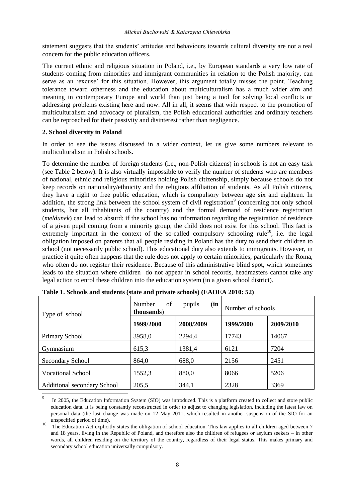statement suggests that the students' attitudes and behaviours towards cultural diversity are not a real concern for the public education officers.

The current ethnic and religious situation in Poland, i.e., by European standards a very low rate of students coming from minorities and immigrant communities in relation to the Polish majority, can serve as an 'excuse' for this situation. However, this argument totally misses the point. Teaching tolerance toward otherness and the education about multiculturalism has a much wider aim and meaning in contemporary Europe and world than just being a tool for solving local conflicts or addressing problems existing here and now. All in all, it seems that with respect to the promotion of multiculturalism and advocacy of pluralism, the Polish educational authorities and ordinary teachers can be reproached for their passivity and disinterest rather than negligence.

#### **2. School diversity in Poland**

In order to see the issues discussed in a wider context, let us give some numbers relevant to multiculturalism in Polish schools.

To determine the number of foreign students (i.e., non-Polish citizens) in schools is not an easy task (see Table 2 below). It is also virtually impossible to verify the number of students who are members of national, ethnic and religious minorities holding Polish citizenship, simply because schools do not keep records on nationality/ethnicity and the religious affiliation of students. As all Polish citizens, they have a right to free public education, which is compulsory between age six and eighteen. In addition, the strong link between the school system of civil registration<sup>9</sup> (concerning not only school students, but all inhabitants of the country) and the formal demand of residence registration (*meldunek*) can lead to absurd: if the school has no information regarding the registration of residence of a given pupil coming from a minority group, the child does not exist for this school. This fact is extremely important in the context of the so-called compulsory schooling rule<sup>10</sup>, i.e. the legal obligation imposed on parents that all people residing in Poland has the duty to send their children to school (not necessarily public school). This educational duty also extends to immigrants. However, in practice it quite often happens that the rule does not apply to certain minorities, particularly the Roma, who often do not register their residence. Because of this administrative blind spot, which sometimes leads to the situation where children do not appear in school records, headmasters cannot take any legal action to enrol these children into the education system (in a given school district).

| Type of school                                                                                                                                                                                                                                                                                           | of<br>Number<br>thousands) | (in<br>pupils | Number of schools |           |
|----------------------------------------------------------------------------------------------------------------------------------------------------------------------------------------------------------------------------------------------------------------------------------------------------------|----------------------------|---------------|-------------------|-----------|
|                                                                                                                                                                                                                                                                                                          | 1999/2000                  | 2008/2009     | 1999/2000         | 2009/2010 |
| Primary School                                                                                                                                                                                                                                                                                           | 3958,0                     | 2294,4        | 17743             | 14067     |
| Gymnasium                                                                                                                                                                                                                                                                                                | 615,3                      | 1381,4        | 6121              | 7204      |
| Secondary School                                                                                                                                                                                                                                                                                         | 864,0                      | 688,0         | 2156              | 2451      |
| <b>Vocational School</b>                                                                                                                                                                                                                                                                                 | 1552,3                     | 880,0         | 8066              | 5206      |
| <b>Additional secondary School</b>                                                                                                                                                                                                                                                                       | 205,5                      | 344,1         | 2328              | 3369      |
| 9<br>$\mathbf{T}$ 000 at $\mathbf{P}$ 1. The contract of $\mathbf{P}$ (OTO) is the $\mathbf{P}$ $\mathbf{P}$ at $\mathbf{P}$ $\mathbf{P}$ at $\mathbf{P}$ at $\mathbf{P}$ at $\mathbf{P}$ at $\mathbf{P}$ at $\mathbf{P}$ at $\mathbf{P}$ at $\mathbf{P}$ at $\mathbf{P}$ at $\mathbf{P}$ at $\mathbf{P$ |                            |               |                   |           |

In 2005, the Education Information System (SIO) was introduced. This is a platform created to collect and store public education data. It is being constantly reconstructed in order to adjust to changing legislation, including the latest law on personal data (the last change was made on 12 May 2011, which resulted in another suspension of the SIO for an unspecified period of time).

<sup>10</sup> The Education Act explicitly states the obligation of school education. This law applies to all children aged between 7 and 18 years, living in the Republic of Poland, and therefore also the children of refugees or asylum seekers – in other words, all children residing on the territory of the country, regardless of their legal status. This makes primary and secondary school education universally compulsory.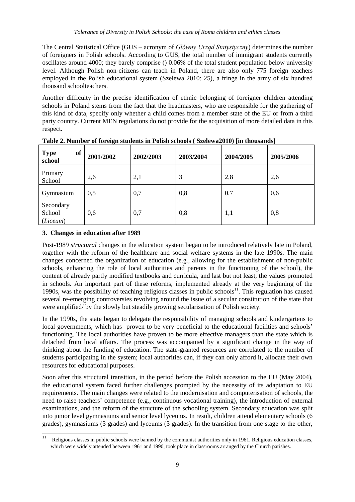The Central Statistical Office (GUS – acronym of *Główny Urząd Statystyczny*) determines the number of foreigners in Polish schools. According to GUS, the total number of immigrant students currently oscillates around 4000; they barely comprise () 0.06% of the total student population below university level. Although Polish non-citizens can teach in Poland, there are also only 775 foreign teachers employed in the Polish educational system (Szelewa 2010: 25), a fringe in the army of six hundred thousand schoolteachers.

Another difficulty in the precise identification of ethnic belonging of foreigner children attending schools in Poland stems from the fact that the headmasters, who are responsible for the gathering of this kind of data, specify only whether a child comes from a member state of the EU or from a third party country. Current MEN regulations do not provide for the acquisition of more detailed data in this respect.

| of<br><b>Type</b><br>school     | 2001/2002 | 2002/2003 | 2003/2004 | 2004/2005 | 2005/2006 |
|---------------------------------|-----------|-----------|-----------|-----------|-----------|
| Primary<br>School               | 2,6       | 2,1       | 3         | 2,8       | 2,6       |
| Gymnasium                       | 0,5       | 0,7       | 0,8       | 0,7       | 0,6       |
| Secondary<br>School<br>(Liceum) | 0,6       | 0,7       | 0,8       | 1,1       | 0,8       |

**Table 2. Number of foreign students in Polish schools ( Szelewa2010) [in thousands]**

## **3. Changes in education after 1989**

 $\overline{\phantom{a}}$ 

Post-1989 *structural* changes in the education system began to be introduced relatively late in Poland, together with the reform of the healthcare and social welfare systems in the late 1990s. The main changes concerned the organization of education (e.g., allowing for the establishment of non-public schools, enhancing the role of local authorities and parents in the functioning of the school), the content of already partly modified textbooks and curricula, and last but not least, the values promoted in schools. An important part of these reforms, implemented already at the very beginning of the 1990s, was the possibility of teaching religious classes in public schools<sup>11</sup>. This regulation has caused several re-emerging controversies revolving around the issue of a secular constitution of the state that were amplified/ by the slowly but steadily growing secularisation of Polish society.

In the 1990s, the state began to delegate the responsibility of managing schools and kindergartens to local governments, which has proven to be very beneficial to the educational facilities and schools' functioning. The local authorities have proven to be more effective managers than the state which is detached from local affairs. The process was accompanied by a significant change in the way of thinking about the funding of education. The state-granted resources are correlated to the number of students participating in the system; local authorities can, if they can only afford it, allocate their own resources for educational purposes.

Soon after this structural transition, in the period before the Polish accession to the EU (May 2004), the educational system faced further challenges prompted by the necessity of its adaptation to EU requirements. The main changes were related to the modernisation and computerisation of schools, the need to raise teachers' competence (e.g., continuous vocational training), the introduction of external examinations, and the reform of the structure of the schooling system. Secondary education was split into junior level gymnasiums and senior level lyceums. In result, children attend elementary schools (6 grades), gymnasiums (3 grades) and lyceums (3 grades). In the transition from one stage to the other,

Religious classes in public schools were banned by the communist authorities only in 1961. Religious education classes, which were widely attended between 1961 and 1990, took place in classrooms arranged by the Church parishes.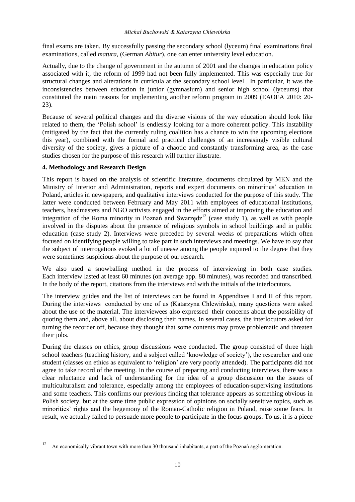#### *Michał Buchowski & Katarzyna Chlewińska*

final exams are taken. By successfully passing the secondary school (lyceum) final examinations final examinations, called *matura,* (German *Abitur*), one can enter university level education.

Actually, due to the change of government in the autumn of 2001 and the changes in education policy associated with it, the reform of 1999 had not been fully implemented. This was especially true for structural changes and alterations in curricula at the secondary school level . In particular, it was the inconsistencies between education in junior (gymnasium) and senior high school (lyceums) that constituted the main reasons for implementing another reform program in 2009 (EAOEA 2010: 20- 23).

Because of several political changes and the diverse visions of the way education should look like related to them, the 'Polish school' is endlessly looking for a more coherent policy. This instability (mitigated by the fact that the currently ruling coalition has a chance to win the upcoming elections this year), combined with the formal and practical challenges of an increasingly visible cultural diversity of the society, gives a picture of a chaotic and constantly transforming area, as the case studies chosen for the purpose of this research will further illustrate.

## **4. Methodology and Research Design**

This report is based on the analysis of scientific literature, documents circulated by MEN and the Ministry of Interior and Administration, reports and expert documents on minorities' education in Poland, articles in newspapers, and qualitative interviews conducted for the purpose of this study. The latter were conducted between February and May 2011 with employees of educational institutions, teachers, headmasters and NGO activists engaged in the efforts aimed at improving the education and integration of the Roma minority in Poznań and Swarzędz<sup>12</sup> (case study 1), as well as with people involved in the disputes about the presence of religious symbols in school buildings and in public education (case study 2). Interviews were preceded by several weeks of preparations which often focused on identifying people willing to take part in such interviews and meetings. We have to say that the subject of interrogations evoked a lot of unease among the people inquired to the degree that they were sometimes suspicious about the purpose of our research.

We also used a snowballing method in the process of interviewing in both case studies. Each interview lasted at least 60 minutes (on average app. 80 minutes), was recorded and transcribed. In the body of the report, citations from the interviews end with the initials of the interlocutors.

The interview guides and the list of interviews can be found in Appendixes I and II of this report. During the interviews conducted by one of us (Katarzyna Chlewińska), many questions were asked about the use of the material. The interviewees also expressed their concerns about the possibility of quoting them and, above all, about disclosing their names. In several cases, the interlocutors asked for turning the recorder off, because they thought that some contents may prove problematic and threaten their jobs.

During the classes on ethics, group discussions were conducted. The group consisted of three high school teachers (teaching history, and a subject called 'knowledge of society'), the researcher and one student (classes on ethics as equivalent to 'religion' are very poorly attended). The participants did not agree to take record of the meeting. In the course of preparing and conducting interviews, there was a clear reluctance and lack of understanding for the idea of a group discussion on the issues of multiculturalism and tolerance, especially among the employees of education-supervising institutions and some teachers. This confirms our previous finding that tolerance appears as something obvious in Polish society, but at the same time public expression of opinions on socially sensitive topics, such as minorities' rights and the hegemony of the Roman-Catholic religion in Poland, raise some fears. In result, we actually failed to persuade more people to participate in the focus groups. To us, it is a piece

<sup>12</sup> <sup>12</sup> An economically vibrant town with more than 30 thousand inhabitants, a part of the Poznań agglomeration.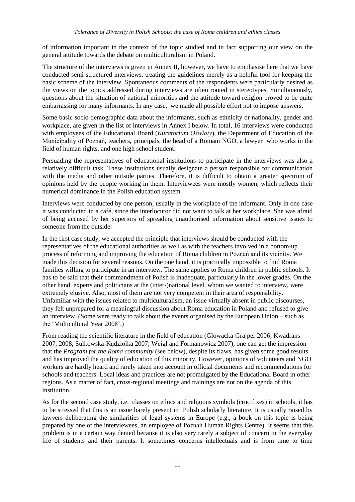of information important in the context of the topic studied and in fact supporting our view on the general attitude towards the debate on multiculturalism in Poland.

The structure of the interviews is given in Annex II, however, we have to emphasise here that we have conducted semi-structured interviews, treating the guidelines merely as a helpful tool for keeping the basic scheme of the interview. Spontaneous comments of the respondents were particularly desired as the views on the topics addressed during interviews are often rooted in stereotypes. Simultaneously, questions about the situation of national minorities and the attitude toward religion proved to be quite embarrassing for many informants. In any case, we made all possible effort not to impose answers.

Some basic socio-demographic data about the informants, such as ethnicity or nationality, gender and workplace, are given in the list of interviews in Annex I below. In total, 16 interviews were conducted with employees of the Educational Board (*Kuratorium Oświaty*), the Department of Education of the Municipality of Poznań, teachers, principals, the head of a Romani NGO, a lawyer who works in the field of human rights, and one high school student.

Persuading the representatives of educational institutions to participate in the interviews was also a relatively difficult task. These institutions usually designate a person responsible for communication with the media and other outside parties. Therefore, it is difficult to obtain a greater spectrum of opinions held by the people working in them. Interviewees were mostly women, which reflects their numerical dominance in the Polish education system.

Interviews were conducted by one person, usually in the workplace of the informant. Only in one case it was conducted in a café, since the interlocutor did not want to talk at her workplace. She was afraid of being accused by her superiors of spreading unauthorised information about sensitive issues to someone from the outside.

In the first case study, we accepted the principle that interviews should be conducted with the representatives of the educational authorities as well as with the teachers involved in a bottom-up process of reforming and improving the education of Roma children in Poznań and its vicinity. We made this decision for several reasons. On the one hand, it is practically impossible to find Roma families willing to participate in an interview. The same applies to Roma children in public schools. It has to be said that their commandment of Polish is inadequate, particularly in the lower grades. On the other hand, experts and politicians at the (inter-)national level, whom we wanted to interview, were extremely elusive. Also, most of them are not very competent in their area of responsibility. Unfamiliar with the issues related to multiculturalism, an issue virtually absent in public discourses, they felt unprepared for a meaningful discussion about Roma education in Poland and refused to give an interview. (Some were ready to talk about the events organised by the European Union – such as the 'Multicultural Year 2008'.)

From reading the scientific literature in the field of education (Głowacka-Grajper 2006; Kwadrans 2007, 2008; Sułkowska-Kądziołka 2007; Weigl and Formanowicz 2007), one can get the impression that the *Program for the Roma community* (see below), despite its flaws, has given some good results and has improved the quality of education of this minority. However, opinions of volunteers and NGO workers are hardly heard and rarely taken into account in official documents and recommendations for schools and teachers. Local ideas and practices are not promulgated by the Educational Board in other regions. As a matter of fact, cross-regional meetings and trainings are not on the agenda of this institution.

As for the second case study, i.e. classes on ethics and religious symbols (crucifixes) in schools, it has to be stressed that this is an issue barely present in Polish scholarly literature. It is usually raised by lawyers deliberating the similarities of legal systems in Europe (e.g., a book on this topic is being prepared by one of the interviewees, an employee of Poznań Human Rights Centre). It seems that this problem is in a certain way denied because it is also very rarely a subject of concern in the everyday life of students and their parents. It sometimes concerns intellectuals and is from time to time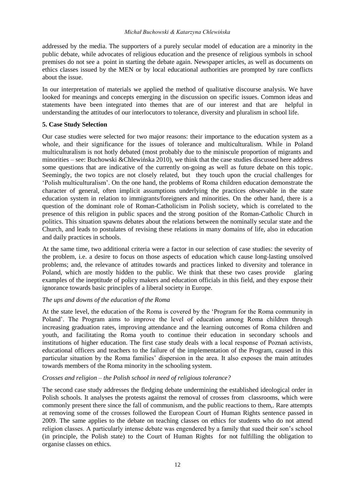addressed by the media. The supporters of a purely secular model of education are a minority in the public debate, while advocates of religious education and the presence of religious symbols in school premises do not see a point in starting the debate again. Newspaper articles, as well as documents on ethics classes issued by the MEN or by local educational authorities are prompted by rare conflicts about the issue.

In our interpretation of materials we applied the method of qualitative discourse analysis. We have looked for meanings and concepts emerging in the discussion on specific issues. Common ideas and statements have been integrated into themes that are of our interest and that are helpful in understanding the attitudes of our interlocutors to tolerance, diversity and pluralism in school life.

#### **5. Case Study Selection**

Our case studies were selected for two major reasons: their importance to the education system as a whole, and their significance for the issues of tolerance and multiculturalism. While in Poland multiculturalism is not hotly debated (most probably due to the miniscule proportion of migrants and minorities – see: Buchowski &Chlewińska 2010), we think that the case studies discussed here address some questions that are indicative of the currently on-going as well as future debate on this topic. Seemingly, the two topics are not closely related, but they touch upon the crucial challenges for 'Polish multiculturalism'. On the one hand, the problems of Roma children education demonstrate the character of general, often implicit assumptions underlying the practices observable in the state education system in relation to immigrants/foreigners and minorities. On the other hand, there is a question of the dominant role of Roman-Catholicism in Polish society, which is correlated to the presence of this religion in public spaces and the strong position of the Roman-Catholic Church in politics. This situation spawns debates about the relations between the nominally secular state and the Church, and leads to postulates of revising these relations in many domains of life, also in education and daily practices in schools.

At the same time, two additional criteria were a factor in our selection of case studies: the severity of the problem, i.e. a desire to focus on those aspects of education which cause long-lasting unsolved problems; and, the relevance of attitudes towards and practices linked to diversity and tolerance in Poland, which are mostly hidden to the public. We think that these two cases provide glaring examples of the ineptitude of policy makers and education officials in this field, and they expose their ignorance towards basic principles of a liberal society in Europe.

#### *The ups and downs of the education of the Roma*

At the state level, the education of the Roma is covered by the 'Program for the Roma community in Poland'. The Program aims to improve the level of education among Roma children through increasing graduation rates, improving attendance and the learning outcomes of Roma children and youth, and facilitating the Roma youth to continue their education in secondary schools and institutions of higher education. The first case study deals with a local response of Poznań activists, educational officers and teachers to the failure of the implementation of the Program, caused in this particular situation by the Roma families' dispersion in the area. It also exposes the main attitudes towards members of the Roma minority in the schooling system.

#### *Crosses and religion – the Polish school in need of religious tolerance?*

The second case study addresses the fledging debate undermining the established ideological order in Polish schools. It analyses the protests against the removal of crosses from classrooms, which were commonly present there since the fall of communism, and the public reactions to them,. Rare attempts at removing some of the crosses followed the European Court of Human Rights sentence passed in 2009. The same applies to the debate on teaching classes on ethics for students who do not attend religion classes. A particularly intense debate was engendered by a family that sued their son's school (in principle, the Polish state) to the Court of Human Rights for not fulfilling the obligation to organise classes on ethics.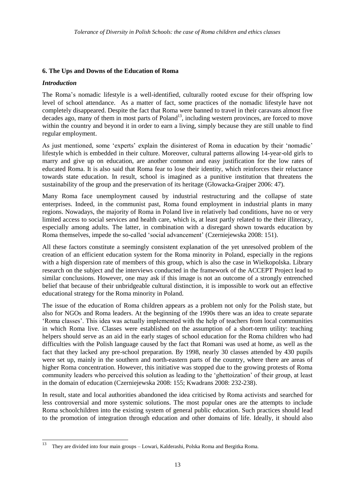## **6. The Ups and Downs of the Education of Roma**

#### *Introduction*

The Roma's nomadic lifestyle is a well-identified, culturally rooted excuse for their offspring low level of school attendance. As a matter of fact, some practices of the nomadic lifestyle have not completely disappeared. Despite the fact that Roma were banned to travel in their caravans almost five decades ago, many of them in most parts of Poland<sup>13</sup>, including western provinces, are forced to move within the country and beyond it in order to earn a living, simply because they are still unable to find regular employment.

As just mentioned, some 'experts' explain the disinterest of Roma in education by their 'nomadic' lifestyle which is embedded in their culture. Moreover, cultural patterns allowing 14-year-old girls to marry and give up on education, are another common and easy justification for the low rates of educated Roma. It is also said that Roma fear to lose their identity, which reinforces their reluctance towards state education. In result, school is imagined as a punitive institution that threatens the sustainability of the group and the preservation of its heritage (Głowacka-Grajper 2006: 47).

Many Roma face unemployment caused by industrial restructuring and the collapse of state enterprises. Indeed, in the communist past, Roma found employment in industrial plants in many regions. Nowadays, the majority of Roma in Poland live in relatively bad conditions, have no or very limited access to social services and health care, which is, at least partly related to the their illiteracy, especially among adults. The latter, in combination with a disregard shown towards education by Roma themselves, impede the so-called 'social advancement' (Czerniejewska 2008: 151).

All these factors constitute a seemingly consistent explanation of the yet unresolved problem of the creation of an efficient education system for the Roma minority in Poland, especially in the regions with a high dispersion rate of members of this group, which is also the case in Wielkopolska. Library research on the subject and the interviews conducted in the framework of the ACCEPT Project lead to similar conclusions. However, one may ask if this image is not an outcome of a strongly entrenched belief that because of their unbridgeable cultural distinction, it is impossible to work out an effective educational strategy for the Roma minority in Poland.

The issue of the education of Roma children appears as a problem not only for the Polish state, but also for NGOs and Roma leaders. At the beginning of the 1990s there was an idea to create separate 'Roma classes'. This idea was actually implemented with the help of teachers from local communities in which Roma live. Classes were established on the assumption of a short-term utility: teaching helpers should serve as an aid in the early stages of school education for the Roma children who had difficulties with the Polish language caused by the fact that Romani was used at home, as well as the fact that they lacked any pre-school preparation. By 1998, nearly 30 classes attended by 430 pupils were set up, mainly in the southern and north-eastern parts of the country, where there are areas of higher Roma concentration. However, this initiative was stopped due to the growing protests of Roma community leaders who perceived this solution as leading to the 'ghettoization' of their group, at least in the domain of education (Czerniejewska 2008: 155; Kwadrans 2008: 232-238).

In result, state and local authorities abandoned the idea criticised by Roma activists and searched for less controversial and more systemic solutions. The most popular ones are the attempts to include Roma schoolchildren into the existing system of general public education. Such practices should lead to the promotion of integration through education and other domains of life. Ideally, it should also

<sup>13</sup> <sup>13</sup> They are divided into four main groups – Lowari, Kalderashi, Polska Roma and Bergitka Roma.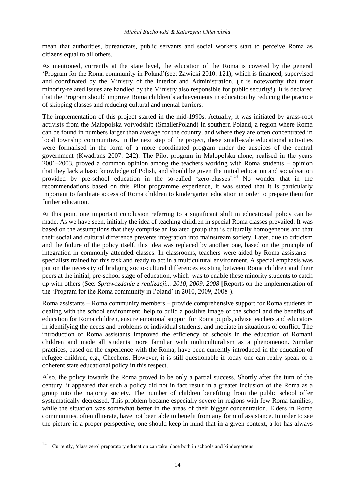mean that authorities, bureaucrats, public servants and social workers start to perceive Roma as citizens equal to all others.

As mentioned, currently at the state level, the education of the Roma is covered by the general 'Program for the Roma community in Poland'(see: Zawicki 2010: 121), which is financed, supervised and coordinated by the Ministry of the Interior and Administration. (It is noteworthy that most minority-related issues are handled by the Ministry also responsible for public security!). It is declared that the Program should improve Roma children's achievements in education by reducing the practice of skipping classes and reducing cultural and mental barriers.

The implementation of this project started in the mid-1990s. Actually, it was initiated by grass-root activists from the Małopolska voivodship (SmallerPoland) in southern Poland, a region where Roma can be found in numbers larger than average for the country, and where they are often concentrated in local township communities. In the next step of the project, these small-scale educational activities were formalised in the form of a more coordinated program under the auspices of the central government (Kwadrans 2007: 242). The Pilot program in Małopolska alone, realised in the years 2001–2003, proved a common opinion among the teachers working with Roma students – opinion that they lack a basic knowledge of Polish, and should be given the initial education and socialisation provided by pre-school education in the so-called 'zero-classes'.<sup>14</sup> No wonder that in the recommendations based on this Pilot programme experience, it was stated that it is particularly important to facilitate access of Roma children to kindergarten education in order to prepare them for further education.

At this point one important conclusion referring to a significant shift in educational policy can be made. As we have seen, initially the idea of teaching children in special Roma classes prevailed. It was based on the assumptions that they comprise an isolated group that is culturally homogeneous and that their social and cultural difference prevents integration into mainstream society. Later, due to criticism and the failure of the policy itself, this idea was replaced by another one, based on the principle of integration in commonly attended classes. In classrooms, teachers were aided by Roma assistants – specialists trained for this task and ready to act in a multicultural environment. A special emphasis was put on the necessity of bridging socio-cultural differences existing between Roma children and their peers at the initial, pre-school stage of education, which was to enable these minority students to catch up with others (See: *Sprawozdanie z realizacji... 2010, 2009, 2008* [Reports on the implementation of the 'Program for the Roma community in Poland' in 2010, 2009, 2008]).

Roma assistants – Roma community members – provide comprehensive support for Roma students in dealing with the school environment, help to build a positive image of the school and the benefits of education for Roma children, ensure emotional support for Roma pupils, advise teachers and educators in identifying the needs and problems of individual students, and mediate in situations of conflict. The introduction of Roma assistants improved the efficiency of schools in the education of Romani children and made all students more familiar with multiculturalism as a phenomenon. Similar practices, based on the experience with the Roma, have been currently introduced in the education of refugee children, e.g., Chechens. However, it is still questionable if today one can really speak of a coherent state educational policy in this respect.

Also, the policy towards the Roma proved to be only a partial success. Shortly after the turn of the century, it appeared that such a policy did not in fact result in a greater inclusion of the Roma as a group into the majority society. The number of children benefiting from the public school offer systematically decreased. This problem became especially severe in regions with few Roma families, while the situation was somewhat better in the areas of their bigger concentration. Elders in Roma communities, often illiterate, have not been able to benefit from any form of assistance. In order to see the picture in a proper perspective, one should keep in mind that in a given context, a lot has always

 $14$ <sup>14</sup> Currently, 'class zero' preparatory education can take place both in schools and kindergartens.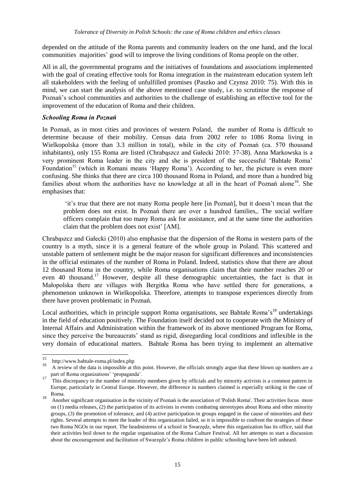depended on the attitude of the Roma parents and community leaders on the one hand, and the local communities majorities' good will to improve the living conditions of Roma people on the other.

All in all, the governmental programs and the initiatives of foundations and associations implemented with the goal of creating effective tools for Roma integration in the mainstream education system left all stakeholders with the feeling of unfulfilled promises (Paszko and Czynsz 2010: 75). With this in mind, we can start the analysis of the above mentioned case study, i.e. to scrutinise the response of Poznań's school communities and authorities to the challenge of establishing an effective tool for the improvement of the education of Roma and their children.

#### *Schooling Roma in Poznań*

In Poznań, as in most cities and provinces of western Poland, the number of Roma is difficult to determine because of their mobility. Census data from 2002 refer to 1086 Roma living in Wielkopolska (more than 3.3 million in total), while in the city of Poznań (ca. 570 thousand inhabitants), only 155 Roma are listed (Chrabąszcz and Gałecki 2010: 37-38). Anna Markowska is a very prominent Roma leader in the city and she is president of the successful 'Bahtałe Roma' Foundation<sup>15</sup> (which in Romani means 'Happy Roma'). According to her, the picture is even more confusing. She thinks that there are circa 100 thousand Roma in Poland, and more than a hundred big families about whom the authorities have no knowledge at all in the heart of Poznań alone<sup>16</sup>. She emphasises that:

'it's true that there are not many Roma people here [in Poznań], but it doesn't mean that the problem does not exist. In Poznań there are over a hundred families,. The social welfare officers complain that too many Roma ask for assistance, and at the same time the authorities claim that the problem does not exist' [AM].

Chrabąszcz and Gałecki (2010) also emphasise that the dispersion of the Roma in western parts of the country is a myth, since it is a general feature of the whole group in Poland. This scattered and unstable pattern of settlement might be the major reason for significant differences and inconsistencies in the official estimates of the number of Roma in Poland. Indeed, statistics show that there are about 12 thousand Roma in the country, while Roma organisations claim that their number reaches 20 or even 40 thousand.<sup>17</sup> However, despite all these demographic uncertainties, the fact is that in Małopolska there are villages with Bergitka Roma who have settled there for generations, a phenomenon unknown in Wielkopolska. Therefore, attempts to transpose experiences directly from there have proven problematic in Poznań.

Local authorities, which in principle support Roma organisations, see Bahtałe Roma's<sup>18</sup> undertakings in the field of education positively. The Foundation itself decided not to cooperate with the Ministry of Internal Affairs and Administration within the framework of its above mentioned Program for Roma, since they perceive the bureaucrats' stand as rigid, disregarding local conditions and inflexible in the very domain of educational matters. Bahtałe Roma has been trying to implement an alternative

 $15$  $15$  http://www.bahtale-roma.pl/index.php

<sup>16</sup> A review of the data is impossible at this point. However, the officials strongly argue that these blown up numbers are a part of Roma organizations' 'propaganda'.

<sup>17</sup> This discrepancy in the number of minority members given by officials and by minority activists is a common pattern in Europe, particularly in Central Europe. However, the difference in numbers claimed is especially striking in the case of Roma.

<sup>18&</sup>lt;br>Another significant organisation in the vicinity of Poznań is the association of 'Polish Roma'. Their activities focus more on (1) media releases, (2) the participation of its activists in events combating stereotypes about Roma and other minority groups, (3) the promotion of tolerance, and (4) active participation in groups engaged in the cause of minorities and their rights. Several attempts to meet the leader of this organization failed, so it is impossible to confront the strategies of these two Roma NGOs in our report. The headmistress of a school in Swarzędz, where this organization has its office, said that their activities boil down to the regular organisation of the Roma Culture Festival. All her attempts to start a discussion about the encouragement and facilitation of Swarzędz's Roma children in public schooling have been left unheard.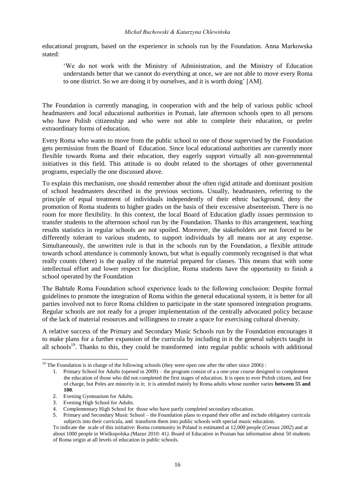educational program, based on the experience in schools run by the Foundation. Anna Markowska stated:

'We do not work with the Ministry of Administration, and the Ministry of Education understands better that we cannot do everything at once, we are not able to move every Roma to one district. So we are doing it by ourselves, and it is worth doing' [AM].

The Foundation is currently managing, in cooperation with and the help of various public school headmasters and local educational authorities in Poznań, late afternoon schools open to all persons who have Polish citizenship and who were not able to complete their education, or prefer extraordinary forms of education.

Every Roma who wants to move from the public school to one of those supervised by the Foundation gets permission from the Board of Education. Since local educational authorities are currently more flexible towards Roma and their education, they eagerly support virtually all non-governmental initiatives in this field. This attitude is no doubt related to the shortages of other governmental programs, especially the one discussed above.

To explain this mechanism, one should remember about the often rigid attitude and dominant position of school headmasters described in the previous sections. Usually, headmasters, referring to the principle of equal treatment of individuals independently of their ethnic background, deny the promotion of Roma students to higher grades on the basis of their excessive absenteeism. There is no room for more flexibility. In this context, the local Board of Education gladly issues permission to transfer students to the afternoon school run by the Foundation. Thanks to this arrangement, teaching results statistics in regular schools are not spoiled. Moreover, the stakeholders are not forced to be differently tolerant to various students, to support individuals by all means nor at any expense. Simultaneously, the unwritten rule is that in the schools run by the Foundation, a flexible attitude towards school attendance is commonly known, but what is equally commonly recognised is that what really counts (there) is the quality of the material prepared for classes. This means that with some intellectual effort and lower respect for discipline, Roma students have the opportunity to finish a school operated by the Foundation

The Bahtałe Roma Foundation school experience leads to the following conclusion: Despite formal guidelines to promote the integration of Roma within the general educational system, it is better for all parties involved not to force Roma children to participate in the state sponsored integration programs. Regular schools are not ready for a proper implementation of the centrally advocated policy because of the lack of material resources and willingness to create a space for exercising cultural diversity.

A relative success of the Primary and Secondary Music Schools run by the Foundation encourages it to make plans for a further expansion of the curricula by including in it the general subjects taught in all schools<sup>19</sup>. Thanks to this, they could be transformed into regular public schools with additional

l

<sup>&</sup>lt;sup>19</sup> The Foundation is in charge of the following schools (they were open one after the other since  $2006$ ) :

<sup>1.</sup> Primary School for Adults (opened in 2009) – the program consist of a a one-year course designed to complement the education of those who did not completed the first stages of education. It is open to ever Polish citizen, and free of charge, but Poles are minority in it; it is attended mainly by Roma adults whose number varies **between 55 and 100**.

<sup>2.</sup> Evening Gymnasium for Adults.

<sup>3.</sup> Evening High School for Adults.

<sup>4.</sup> Complementary High School for those who have partly completed secondary education.

<sup>5.</sup> Primary and Secondary Music School – the Foundation plans to expand their offer and include obligatory curricula subjects into their curricula, and transform them into public schools with special music education.

To indicate the scale of this initiative: Roma community in Poland is estimated at 12,000 people (*Census 2002*) and at about 1000 people in Wielkopolska *(*Mazur 2010: 41*)*. Board of Education in Poznan has information about 50 students of Roma origin at all levels of education in public schools.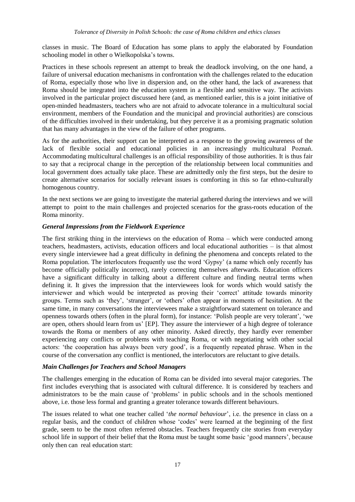classes in music. The Board of Education has some plans to apply the elaborated by Foundation schooling model in other o Wielkopolska's towns.

Practices in these schools represent an attempt to break the deadlock involving, on the one hand, a failure of universal education mechanisms in confrontation with the challenges related to the education of Roma, especially those who live in dispersion and, on the other hand, the lack of awareness that Roma should be integrated into the education system in a flexible and sensitive way. The activists involved in the particular project discussed here (and, as mentioned earlier, this is a joint initiative of open-minded headmasters, teachers who are not afraid to advocate tolerance in a multicultural social environment, members of the Foundation and the municipal and provincial authorities) are conscious of the difficulties involved in their undertaking, but they perceive it as a promising pragmatic solution that has many advantages in the view of the failure of other programs.

As for the authorities, their support can be interpreted as a response to the growing awareness of the lack of flexible social and educational policies in an increasingly multicultural Poznań. Accommodating multicultural challenges is an official responsibility of those authorities. It is thus fair to say that a reciprocal change in the perception of the relationship between local communities and local government does actually take place. These are admittedly only the first steps, but the desire to create alternative scenarios for socially relevant issues is comforting in this so far ethno-culturally homogenous country.

In the next sections we are going to investigate the material gathered during the interviews and we will attempt to point to the main challenges and projected scenarios for the grass-roots education of the Roma minority.

#### *General Impressions from the Fieldwork Experience*

The first striking thing in the interviews on the education of Roma – which were conducted among teachers, headmasters, activists, education officers and local educational authorities – is that almost every single interviewee had a great difficulty in defining the phenomena and concepts related to the Roma population. The interlocutors frequently use the word 'Gypsy' (a name which only recently has become officially politically incorrect), rarely correcting themselves afterwards. Education officers have a significant difficulty in talking about a different culture and finding neutral terms when defining it. It gives the impression that the interviewees look for words which would satisfy the interviewer and which would be interpreted as proving their 'correct' attitude towards minority groups. Terms such as 'they', 'stranger', or 'others' often appear in moments of hesitation. At the same time, in many conversations the interviewees make a straightforward statement on tolerance and openness towards others (often in the plural form), for instance: 'Polish people are very tolerant', 'we are open, others should learn from us' [EP]. They assure the interviewer of a high degree of tolerance towards the Roma or members of any other minority. Asked directly, they hardly ever remember experiencing any conflicts or problems with teaching Roma, or with negotiating with other social actors: 'the cooperation has always been very good', is a frequently repeated phrase. When in the course of the conversation any conflict is mentioned, the interlocutors are reluctant to give details.

#### *Main Challenges for Teachers and School Managers*

The challenges emerging in the education of Roma can be divided into several major categories. The first includes everything that is associated with cultural difference. It is considered by teachers and administrators to be the main cause of 'problems' in public schools and in the schools mentioned above, i.e. those less formal and granting a greater tolerance towards different behaviours.

The issues related to what one teacher called '*the normal behaviour*', i.e. the presence in class on a regular basis, and the conduct of children whose 'codes' were learned at the beginning of the first grade, seem to be the most often referred obstacles. Teachers frequently cite stories from everyday school life in support of their belief that the Roma must be taught some basic 'good manners', because only then can real education start: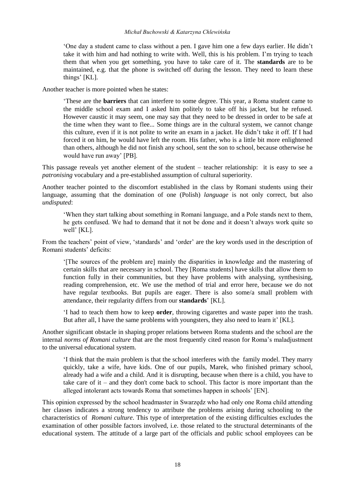#### *Michał Buchowski & Katarzyna Chlewińska*

'One day a student came to class without a pen. I gave him one a few days earlier. He didn't take it with him and had nothing to write with. Well, this is his problem. I'm trying to teach them that when you get something, you have to take care of it. The **standards** are to be maintained, e.g. that the phone is switched off during the lesson. They need to learn these things' [KL].

Another teacher is more pointed when he states:

'These are the **barriers** that can interfere to some degree. This year, a Roma student came to the middle school exam and I asked him politely to take off his jacket, but he refused. However caustic it may seem, one may say that they need to be dressed in order to be safe at the time when they want to flee... Some things are in the cultural system, we cannot change this culture, even if it is not polite to write an exam in a jacket. He didn't take it off. If I had forced it on him, he would have left the room. His father, who is a little bit more enlightened than others, although he did not finish any school, sent the son to school, because otherwise he would have run away' [PB].

This passage reveals yet another element of the student – teacher relationship: it is easy to see a *patronising* vocabulary and a pre-established assumption of cultural superiority.

Another teacher pointed to the discomfort established in the class by Romani students using their language, assuming that the domination of one (Polish) *language* is not only correct, but also *undisputed*:

'When they start talking about something in Romani language, and a Pole stands next to them, he gets confused. We had to demand that it not be done and it doesn't always work quite so well' [KL].

From the teachers' point of view, 'standards' and 'order' are the key words used in the description of Romani students' deficits:

'[The sources of the problem are] mainly the disparities in knowledge and the mastering of certain skills that are necessary in school. They [Roma students] have skills that allow them to function fully in their communities, but they have problems with analysing, synthesising, reading comprehension, etc. We use the method of trial and error here, because we do not have regular textbooks. But pupils are eager. There is also some/a small problem with attendance, their regularity differs from our **standards**' [KL].

'I had to teach them how to keep **order**, throwing cigarettes and waste paper into the trash. But after all, I have the same problems with youngsters, they also need to learn it' [KL].

Another significant obstacle in shaping proper relations between Roma students and the school are the internal *norms of Romani culture* that are the most frequently cited reason for Roma's maladjustment to the universal educational system.

'I think that the main problem is that the school interferes with the family model. They marry quickly, take a wife, have kids. One of our pupils, Marek, who finished primary school, already had a wife and a child. And it is disrupting, because when there is a child, you have to take care of it – and they don't come back to school. This factor is more important than the alleged intolerant acts towards Roma that sometimes happen in schools' [EN].

This opinion expressed by the school headmaster in Swarzędz who had only one Roma child attending her classes indicates a strong tendency to attribute the problems arising during schooling to the characteristics of *Romani culture*. This type of interpretation of the existing difficulties excludes the examination of other possible factors involved, i.e. those related to the structural determinants of the educational system. The attitude of a large part of the officials and public school employees can be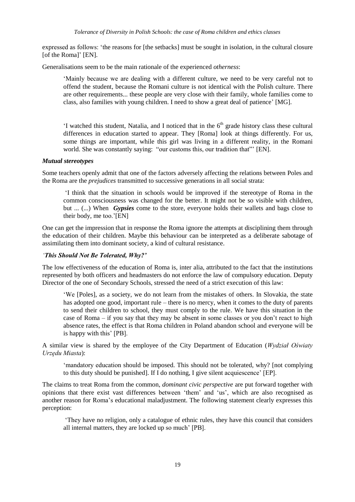expressed as follows: 'the reasons for [the setbacks] must be sought in isolation, in the cultural closure [of the Roma]' [EN].

Generalisations seem to be the main rationale of the experienced *otherness*:

'Mainly because we are dealing with a different culture, we need to be very careful not to offend the student, because the Romani culture is not identical with the Polish culture. There are other requirements... these people are very close with their family, whole families come to class, also families with young children. I need to show a great deal of patience' [MG].

'I watched this student, Natalia, and I noticed that in the  $6<sup>th</sup>$  grade history class these cultural differences in education started to appear. They [Roma] look at things differently. For us, some things are important, while this girl was living in a different reality, in the Romani world. She was constantly saying: "our customs this, our tradition that" [EN].

#### *Mutual stereotypes*

Some teachers openly admit that one of the factors adversely affecting the relations between Poles and the Roma are the *prejudices* transmitted to successive generations in all social strata:

'I think that the situation in schools would be improved if the stereotype of Roma in the common consciousness was changed for the better. It might not be so visible with children, but ... (...) When *Gypsies* come to the store, everyone holds their wallets and bags close to their body, me too.'[EN]

One can get the impression that in response the Roma ignore the attempts at disciplining them through the education of their children. Maybe this behaviour can be interpreted as a deliberate sabotage of assimilating them into dominant society, a kind of cultural resistance.

#### *'This Should Not Be Tolerated, Why?'*

The low effectiveness of the education of Roma is, inter alia, attributed to the fact that the institutions represented by both officers and headmasters do not enforce the law of compulsory education. Deputy Director of the one of Secondary Schools, stressed the need of a strict execution of this law:

'We [Poles], as a society, we do not learn from the mistakes of others. In Slovakia, the state has adopted one good, important rule – there is no mercy, when it comes to the duty of parents to send their children to school, they must comply to the rule. We have this situation in the case of Roma – if you say that they may be absent in some classes or you don't react to high absence rates, the effect is that Roma children in Poland abandon school and everyone will be is happy with this' [PB].

A similar view is shared by the employee of the City Department of Education (*Wydział Oświaty Urzędu Miasta*):

'mandatory education should be imposed. This should not be tolerated, why? [not complying to this duty should be punished]. If I do nothing, I give silent acquiescence' [EP].

The claims to treat Roma from the common, *dominant civic perspective* are put forward together with opinions that there exist vast differences between 'them' and 'us', which are also recognised as another reason for Roma's educational maladjustment. The following statement clearly expresses this perception:

'They have no religion, only a catalogue of ethnic rules, they have this council that considers all internal matters, they are locked up so much' [PB].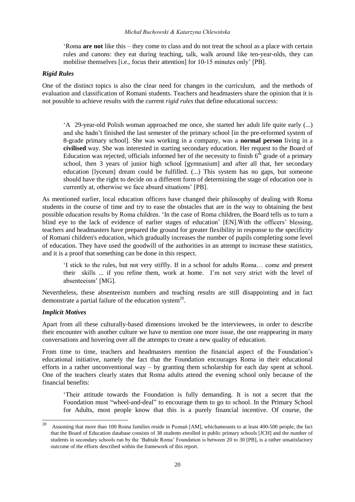'Roma **are not** like this – they come to class and do not treat the school as a place with certain rules and canons: they eat during teaching, talk, walk around like ten-year-olds, they can mobilise themselves [i.e., focus their attention] for 10-15 minutes only' [PB].

#### *Rigid Rules*

One of the distinct topics is also the clear need for changes in the curriculum, and the methods of evaluation and classification of Romani students. Teachers and headmasters share the opinion that it is not possible to achieve results with the current *rigid rules* that define educational success:

'A 29-year-old Polish woman approached me once, she started her adult life quite early (...) and she hadn't finished the last semester of the primary school [in the pre-reformed system of 8-grade primary school]. She was working in a company, was a **normal person** living in a **civilised** way. She was interested in starting secondary education. Her request to the Board of Education was rejected, officials informed her of the necessity to finish  $6<sup>th</sup>$  grade of a primary school, then 3 years of junior high school [gymnasium] and after all that, her secondary education [lyceum] dream could be fulfilled. (...) This system has no gaps, but someone should have the right to decide on a different form of determining the stage of education one is currently at, otherwise we face absurd situations' [PB].

As mentioned earlier, local education officers have changed their philosophy of dealing with Roma students in the course of time and try to ease the obstacles that are in the way to obtaining the best possible education results by Roma children. 'In the case of Roma children, the Board tells us to turn a blind eye to the lack of evidence of earlier stages of education' [EN].With the officers' blessing, teachers and headmasters have prepared the ground for greater flexibility in response to the specificity of Romani children's education, which gradually increases the number of pupils completing some level of education. They have used the goodwill of the authorities in an attempt to increase these statistics, and it is a proof that something can be done in this respect.

'I stick to the rules, but not very stiffly. If in a school for adults Roma… come and present their skills ... if you refine them, work at home. I'm not very strict with the level of absenteeism' [MG].

Nevertheless, these absenteeism numbers and teaching results are still disappointing and in fact demonstrate a partial failure of the education system<sup>20</sup>.

## *Implicit Motives*

Apart from all these culturally-based dimensions invoked be the interviewees, in order to describe their encounter with another culture we have to mention one more issue, the one reappearing in many conversations and hovering over all the attempts to create a new quality of education.

From time to time, teachers and headmasters mention the financial aspect of the Foundation's educational initiative, namely the fact that the Foundation encourages Roma in their educational efforts in a rather unconventional way  $-$  by granting them scholarship for each day spent at school. One of the teachers clearly states that Roma adults attend the evening school only because of the financial benefits:

'Their attitude towards the Foundation is fully demanding. It is not a secret that the Foundation must "wheel-and-deal" to encourage them to go to school. In the Primary School for Adults, most people know that this is a purely financial incentive. Of course, the

<sup>20</sup> <sup>20</sup> Assuming that more than 100 Roma families reside in Poznań [AM], whichamounts to at least 400-500 people, the fact that the Board of Education database consists of 38 students enrolled in public primary schools [JCH] and the number of students in secondary schools run by the 'Bahtałe Roma' Foundation is between 20 to 30 [PB], is a rather unsatisfactory outcome of the efforts described within the framework of this report.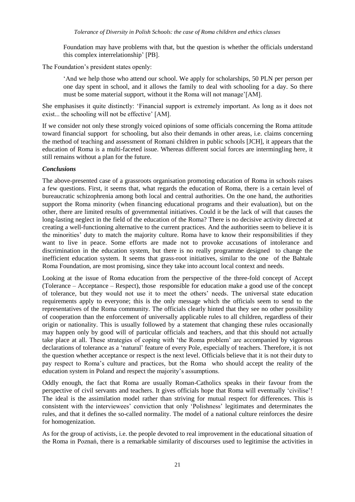Foundation may have problems with that, but the question is whether the officials understand this complex interrelationship' [PB].

The Foundation's president states openly:

'And we help those who attend our school. We apply for scholarships, 50 PLN per person per one day spent in school, and it allows the family to deal with schooling for a day. So there must be some material support, without it the Roma will not manage'[AM].

She emphasises it quite distinctly: 'Financial support is extremely important. As long as it does not exist... the schooling will not be effective' [AM].

If we consider not only these strongly voiced opinions of some officials concerning the Roma attitude toward financial support for schooling, but also their demands in other areas, i.e. claims concerning the method of teaching and assessment of Romani children in public schools [JCH], it appears that the education of Roma is a multi-faceted issue. Whereas different social forces are intermingling here, it still remains without a plan for the future.

#### *Conclusions*

The above-presented case of a grassroots organisation promoting education of Roma in schools raises a few questions. First, it seems that, what regards the education of Roma, there is a certain level of bureaucratic schizophrenia among both local and central authorities. On the one hand, the authorities support the Roma minority (when financing educational programs and their evaluation), but on the other, there are limited results of governmental initiatives. Could it be the lack of will that causes the long-lasting neglect in the field of the education of the Roma? There is no decisive activity directed at creating a well-functioning alternative to the current practices. And the authorities seem to believe it is the minorities' duty to match the majority culture. Roma have to know their responsibilities if they want to live in peace. Some efforts are made not to provoke accusations of intolerance and discrimination in the education system, but there is no really programme designed to change the inefficient education system. It seems that grass-root initiatives, similar to the one of the Bahtałe Roma Foundation, are most promising, since they take into account local context and needs.

Looking at the issue of Roma education from the perspective of the three-fold concept of Accept (Tolerance – Acceptance – Respect), those responsible for education make a good use of the concept of tolerance, but they would not use it to meet the others' needs. The universal state education requirements apply to everyone; this is the only message which the officials seem to send to the representatives of the Roma community. The officials clearly hinted that they see no other possibility of cooperation than the enforcement of universally applicable rules to all children, regardless of their origin or nationality. This is usually followed by a statement that changing these rules occasionally may happen only by good will of particular officials and teachers, and that this should not actually take place at all. These strategies of coping with 'the Roma problem' are accompanied by vigorous declarations of tolerance as a 'natural' feature of every Pole, especially of teachers. Therefore, it is not the question whether acceptance or respect is the next level. Officials believe that it is not their duty to pay respect to Roma's culture and practices, but the Roma who should accept the reality of the education system in Poland and respect the majority's assumptions.

Oddly enough, the fact that Roma are usually Roman-Catholics speaks in their favour from the perspective of civil servants and teachers. It gives officials hope that Roma will eventually 'civilise'! The ideal is the assimilation model rather than striving for mutual respect for differences. This is consistent with the interviewees' conviction that only 'Polishness' legitimates and determinates the rules, and that it defines the so-called normality. The model of a national culture reinforces the desire for homogenization.

As for the group of activists, i.e. the people devoted to real improvement in the educational situation of the Roma in Poznań, there is a remarkable similarity of discourses used to legitimise the activities in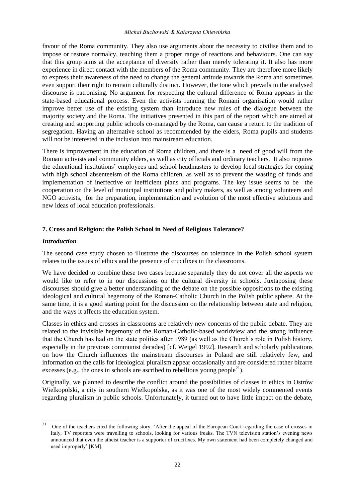favour of the Roma community. They also use arguments about the necessity to civilise them and to impose or restore normalcy, teaching them a proper range of reactions and behaviours. One can say that this group aims at the acceptance of diversity rather than merely tolerating it. It also has more experience in direct contact with the members of the Roma community. They are therefore more likely to express their awareness of the need to change the general attitude towards the Roma and sometimes even support their right to remain culturally distinct. However, the tone which prevails in the analysed discourse is patronising. No argument for respecting the cultural difference of Roma appears in the state-based educational process. Even the activists running the Romani organisation would rather improve better use of the existing system than introduce new rules of the dialogue between the majority society and the Roma. The initiatives presented in this part of the report which are aimed at creating and supporting public schools co-managed by the Roma, can cause a return to the tradition of segregation. Having an alternative school as recommended by the elders, Roma pupils and students will not be interested in the inclusion into mainstream education.

There is improvement in the education of Roma children, and there is a need of good will from the Romani activists and community elders, as well as city officials and ordinary teachers. It also requires the educational institutions' employees and school headmasters to develop local strategies for coping with high school absenteeism of the Roma children, as well as to prevent the wasting of funds and implementation of ineffective or inefficient plans and programs. The key issue seems to be the cooperation on the level of municipal institutions and policy makers, as well as among volunteers and NGO activists, for the preparation, implementation and evolution of the most effective solutions and new ideas of local education professionals.

#### **7. Cross and Religion: the Polish School in Need of Religious Tolerance?**

#### *Introduction*

The second case study chosen to illustrate the discourses on tolerance in the Polish school system relates to the issues of ethics and the presence of crucifixes in the classrooms.

We have decided to combine these two cases because separately they do not cover all the aspects we would like to refer to in our discussions on the cultural diversity in schools. Juxtaposing these discourses should give a better understanding of the debate on the possible oppositions to the existing ideological and cultural hegemony of the Roman-Catholic Church in the Polish public sphere. At the same time, it is a good starting point for the discussion on the relationship between state and religion, and the ways it affects the education system.

Classes in ethics and crosses in classrooms are relatively new concerns of the public debate. They are related to the invisible hegemony of the Roman-Catholic-based worldview and the strong influence that the Church has had on the state politics after 1989 (as well as the Church's role in Polish history, especially in the previous communist decades) [cf. Weigel 1992]. Research and scholarly publications on how the Church influences the mainstream discourses in Poland are still relatively few, and information on the calls for ideological pluralism appear occasionally and are considered rather bizarre excesses (e.g., the ones in schools are ascribed to rebellious young people<sup>21</sup>).

Originally, we planned to describe the conflict around the possibilities of classes in ethics in Ostrów Wielkopolski, a city in southern Wielkopolska, as it was one of the most widely commented events regarding pluralism in public schools. Unfortunately, it turned out to have little impact on the debate,

<sup>21</sup> <sup>21</sup> One of the teachers cited the following story: 'After the appeal of the European Court regarding the case of crosses in Italy, TV reporters were travelling to schools, looking for various freaks. The TVN television station's evening news announced that even the atheist teacher is a supporter of crucifixes. My own statement had been completely changed and used improperly' [KM].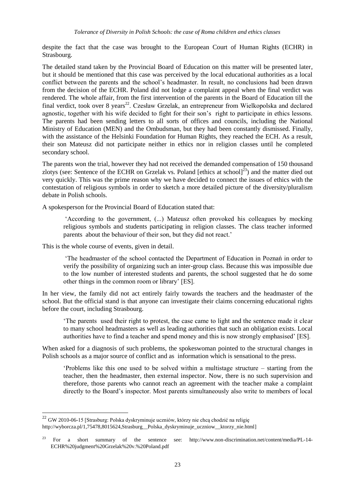despite the fact that the case was brought to the European Court of Human Rights (ECHR) in Strasbourg.

The detailed stand taken by the Provincial Board of Education on this matter will be presented later, but it should be mentioned that this case was perceived by the local educational authorities as a local conflict between the parents and the school's headmaster. In result, no conclusions had been drawn from the decision of the ECHR. Poland did not lodge a complaint appeal when the final verdict was rendered. The whole affair, from the first intervention of the parents in the Board of Education till the final verdict, took over 8 years<sup>22</sup>. Czesław Grzelak, an entrepreneur from Wielkopolska and declared agnostic, together with his wife decided to fight for their son's right to participate in ethics lessons. The parents had been sending letters to all sorts of offices and councils, including the National Ministry of Education (MEN) and the Ombudsman, but they had been constantly dismissed. Finally, with the assistance of the Helsinki Foundation for Human Rights, they reached the ECH. As a result, their son Mateusz did not participate neither in ethics nor in religion classes until he completed secondary school.

The parents won the trial, however they had not received the demanded compensation of 150 thousand zlotys (see: Sentence of the ECHR on Grzelak vs. Poland [ethics at school] $^{23}$ ) and the matter died out very quickly. This was the prime reason why we have decided to connect the issues of ethics with the contestation of religious symbols in order to sketch a more detailed picture of the diversity/pluralism debate in Polish schools.

A spokesperson for the Provincial Board of Education stated that:

'According to the government, (...) Mateusz often provoked his colleagues by mocking religious symbols and students participating in religion classes. The class teacher informed parents about the behaviour of their son, but they did not react.'

This is the whole course of events, given in detail.

l

'The headmaster of the school contacted the Department of Education in Poznań in order to verify the possibility of organizing such an inter-group class. Because this was impossible due to the low number of interested students and parents, the school suggested that he do some other things in the common room or library' [ES].

In her view, the family did not act entirely fairly towards the teachers and the headmaster of the school. But the official stand is that anyone can investigate their claims concerning educational rights before the court, including Strasbourg.

'The parents used their right to protest, the case came to light and the sentence made it clear to many school headmasters as well as leading authorities that such an obligation exists. Local authorities have to find a teacher and spend money and this is now strongly emphasised' [ES].

When asked for a diagnosis of such problems, the spokeswoman pointed to the structural changes in Polish schools as a major source of conflict and as information which is sensational to the press.

'Problems like this one used to be solved within a multistage structure – starting from the teacher, then the headmaster, then external inspector. Now, there is no such supervision and therefore, those parents who cannot reach an agreement with the teacher make a complaint directly to the Board's inspector. Most parents simultaneously also write to members of local

<sup>22</sup> GW 2010-06-15 [Strasburg: Polska dyskryminuje uczniów, którzy nie chcą chodzić na religię [http://wyborcza.pl/1,75478,8015624,Strasburg\\_\\_Polska\\_dyskryminuje\\_uczniow\\_\\_ktorzy\\_nie.html\]](http://wyborcza.pl/1,75478,8015624,Strasburg__Polska_dyskryminuje_uczniow__ktorzy_nie.html)

<sup>23</sup> For a short summary of the sentence see: http://www.non-discrimination.net/content/media/PL-14- ECHR%20judgment%20Grzelak%20v.%20Poland.pdf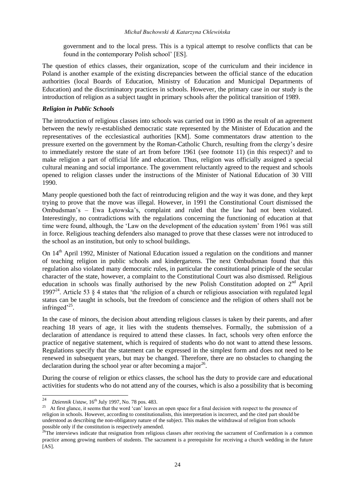government and to the local press. This is a typical attempt to resolve conflicts that can be found in the contemporary Polish school' [ES].

The question of ethics classes, their organization, scope of the curriculum and their incidence in Poland is another example of the existing discrepancies between the official stance of the education authorities (local Boards of Education, Ministry of Education and Municipal Departments of Education) and the discriminatory practices in schools. However, the primary case in our study is the introduction of religion as a subject taught in primary schools after the political transition of 1989.

#### *Religion in Public Schools*

The introduction of religious classes into schools was carried out in 1990 as the result of an agreement between the newly re-established democratic state represented by the Minister of Education and the representatives of the ecclesiastical authorities [KM]. Some commentators draw attention to the pressure exerted on the government by the Roman-Catholic Church, resulting from the clergy's desire to immediately restore the state of art from before 1961 (see footnote 11) (in this respect)? and to make religion a part of official life and education. Thus, religion was officially assigned a special cultural meaning and social importance. The government reluctantly agreed to the request and schools opened to religion classes under the instructions of the Minister of National Education of 30 VIII 1990.

Many people questioned both the fact of reintroducing religion and the way it was done, and they kept trying to prove that the move was illegal. However, in 1991 the Constitutional Court dismissed the Ombudsman's – Ewa Łętowska's, complaint and ruled that the law had not been violated. Interestingly, no contradictions with the regulations concerning the functioning of education at that time were found, although, the 'Law on the development of the education system' from 1961 was still in force. Religious teaching defenders also managed to prove that these classes were not introduced to the school as an institution, but only to school buildings.

On 14th April 1992, Minister of National Education issued a regulation on the conditions and manner of teaching religion in public schools and kindergartens. The next Ombudsman found that this regulation also violated many democratic rules, in particular the constitutional principle of the secular character of the state, however, a complaint to the Constitutional Court was also dismissed. Religious education in schools was finally authorised by the new Polish Constitution adopted on  $2<sup>nd</sup>$  April 1997<sup>24</sup>. Article 53  $\frac{8}{9}$  4 states that 'the religion of a church or religious association with regulated legal status can be taught in schools, but the freedom of conscience and the religion of others shall not be infringed $^{25}$ .

In the case of minors, the decision about attending religious classes is taken by their parents, and after reaching 18 years of age, it lies with the students themselves. Formally, the submission of a declaration of attendance is required to attend these classes. In fact, schools very often enforce the practice of negative statement, which is required of students who do not want to attend these lessons. Regulations specify that the statement can be expressed in the simplest form and does not need to be renewed in subsequent years, but may be changed. Therefore, there are no obstacles to changing the declaration during the school year or after becoming a major<sup>26</sup>.

During the course of religion or ethics classes, the school has the duty to provide care and educational activities for students who do not attend any of the courses, which is also a possibility that is becoming

 $24$ <sup>24</sup> *Dziennik Ustaw*, 16th July 1997, No. 78 pos. 483.

<sup>&</sup>lt;sup>25</sup> At first glance, it seems that the word 'can' leaves an open space for a final decision with respect to the presence of religion in schools. However, according to constitutionalists, this interpretation is incorrect, and the cited part should be understood as describing the non-obligatory nature of the subject. This makes the withdrawal of religion from schools possible only if the constitution is respectively amended.

<sup>&</sup>lt;sup>26</sup>The interviews indicate that resignation from religious classes after receiving the sacrament of Confirmation is a common practice among growing numbers of students. The sacrament is a prerequisite for receiving a church wedding in the future  $[AS]$ .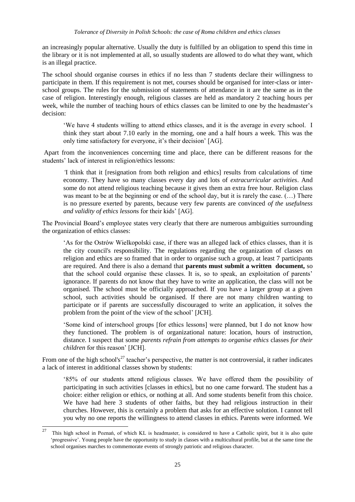an increasingly popular alternative. Usually the duty is fulfilled by an obligation to spend this time in the library or it is not implemented at all, so usually students are allowed to do what they want, which is an illegal practice.

The school should organise courses in ethics if no less than 7 students declare their willingness to participate in them. If this requirement is not met, courses should be organised for inter-class or interschool groups. The rules for the submission of statements of attendance in it are the same as in the case of religion. Interestingly enough, religious classes are held as mandatory 2 teaching hours per week, while the number of teaching hours of ethics classes can be limited to one by the headmaster's decision:

'We have 4 students willing to attend ethics classes, and it is the average in every school. I think they start about 7.10 early in the morning, one and a half hours a week. This was the only time satisfactory for everyone, it's their decision' [AG].

Apart from the inconveniences concerning time and place, there can be different reasons for the students' lack of interest in religion/ethics lessons:

*'*I think that it [resignation from both religion and ethics] results from calculations of time economy. They have so many classes every day and lots of *extracurricular activities*. And some do not attend religious teaching because it gives them an extra free hour. Religion class was meant to be at the beginning or end of the school day, but it is rarely the case.  $(\dots)$  There is no pressure exerted by parents, because very few parents are convinced *of the usefulness and validity of ethics lesson*s for their kids' [AG].

The Provincial Board's employee states very clearly that there are numerous ambiguities surrounding the organization of ethics classes:

'As for the Ostrów Wielkopolski case, if there was an alleged lack of ethics classes, than it is the city council's responsibility. The regulations regarding the organization of classes on religion and ethics are so framed that in order to organise such a group, at least 7 participants are required. And there is also a demand that **parents must submit a written document,** so that the school could organise these classes. It is, so to speak, an exploitation of parents' ignorance. If parents do not know that they have to write an application, the class will not be organised. The school must be officially approached. If you have a larger group at a given school, such activities should be organised. If there are not many children wanting to participate or if parents are successfully discouraged to write an application, it solves the problem from the point of the view of the school' [JCH].

'Some kind of interschool groups [for ethics lessons] were planned, but I do not know how they functioned. The problem is of organizational nature: location, hours of instruction, distance. I suspect that some *parents refrain from attempts to organise ethics* classes *for their children* for this reason' [JCH].

From one of the high school's<sup>27</sup> teacher's perspective, the matter is not controversial, it rather indicates a lack of interest in additional classes shown by students:

'85% of our students attend religious classes. We have offered them the possibility of participating in such activities [classes in ethics], but no one came forward. The student has a choice: either religion or ethics, or nothing at all. And some students benefit from this choice. We have had here 3 students of other faiths, but they had religious instruction in their churches. However, this is certainly a problem that asks for an effective solution. I cannot tell you why no one reports the willingness to attend classes in ethics. Parents were informed. We

 $27$ <sup>27</sup> This high school in Poznań, of which KL is headmaster, is considered to have a Catholic spirit, but it is also quite 'progressive'. Young people have the opportunity to study in classes with a multicultural profile, but at the same time the school organises marches to commemorate events of strongly patriotic and religious character.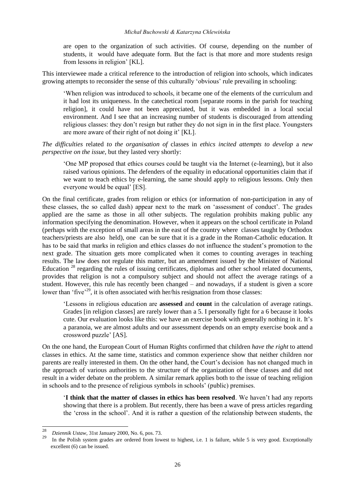are open to the organization of such activities. Of course, depending on the number of students, it would have adequate form. But the fact is that more and more students resign from lessons in religion' [KL].

This interviewee made a critical reference to the introduction of religion into schools, which indicates growing attempts to reconsider the sense of this culturally 'obvious' rule prevailing in schooling:

'When religion was introduced to schools, it became one of the elements of the curriculum and it had lost its uniqueness. In the catechetical room [separate rooms in the parish for teaching religion], it could have not been appreciated, but it was embedded in a local social environment. And I see that an increasing number of students is discouraged from attending religious classes: they don't resign but rather they do not sign in in the first place. Youngsters are more aware of their right of not doing it' [KL].

*The difficulties* related *to the organisation of* classes in *ethics incited attempts to develop* a *new perspective on the issue*, but they lasted very shortly:

'One MP proposed that ethics courses could be taught via the Internet (e-learning), but it also raised various opinions. The defenders of the equality in educational opportunities claim that if we want to teach ethics by e-learning, the same should apply to religious lessons. Only then everyone would be equal' [ES].

On the final certificate, grades from religion or ethics (or information of non-participation in any of these classes, the so called dash) appear next to the mark on 'assessment of conduct'. The grades applied are the same as those in all other subjects. The regulation prohibits making public any information specifying the denomination. However, when it appears on the school certificate in Poland (perhaps with the exception of small areas in the east of the country where classes taught by Orthodox teachers/priests are also held), one can be sure that it is a grade in the Roman-Catholic education. It has to be said that marks in religion and ethics classes do not influence the student's promotion to the next grade. The situation gets more complicated when it comes to counting averages in teaching results. The law does not regulate this matter, but an amendment issued by the Minister of National Education <sup>28</sup> regarding the rules of issuing certificates, diplomas and other school related documents, provides that religion is not a compulsory subject and should not affect the average ratings of a student. However, this rule has recently been changed – and nowadays, if a student is given a score lower than 'five<sup>'29</sup>, it is often associated with her/his resignation from those classes:

'Lessons in religious education are **assessed** and **count** in the calculation of average ratings. Grades [in religion classes] are rarely lower than a 5. I personally fight for a 6 because it looks cute. Our evaluation looks like this: we have an exercise book with generally nothing in it. It's a paranoia, we are almost adults and our assessment depends on an empty exercise book and a crossword puzzle' [AS].

On the one hand, the European Court of Human Rights confirmed that children *have the right* to attend classes in ethics. At the same time, statistics and common experience show that neither children nor parents are really interested in them. On the other hand, the Court's decision has not changed much in the approach of various authorities to the structure of the organization of these classes and did not result in a wider debate on the problem. A similar remark applies both to the issue of teaching religion in schools and to the presence of religious symbols in schools' (public) premises.

'**I think that the matter of classes in ethics has been resolved**. We haven't had any reports showing that there is a problem. But recently, there has been a wave of press articles regarding the 'cross in the school'. And it is rather a question of the relationship between students, the

 $28$ <sup>28</sup> *Dziennik Ustaw*, 31st January 2000, No. 6, pos. 73.

In the Polish system grades are ordered from lowest to highest, i.e. 1 is failure, while 5 is very good. Exceptionally excellent (6) can be issued.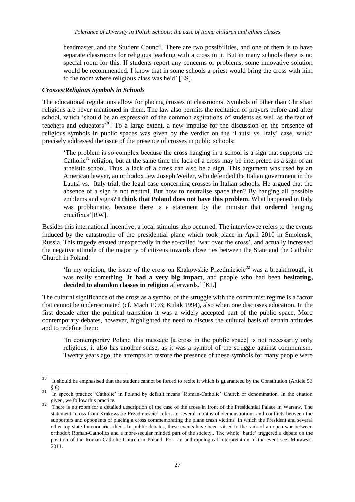headmaster, and the Student Council. There are two possibilities, and one of them is to have separate classrooms for religious teaching with a cross in it. But in many schools there is no special room for this. If students report any concerns or problems, some innovative solution would be recommended. I know that in some schools a priest would bring the cross with him to the room where religious class was held' [ES].

#### *Crosses/Religious Symbols in Schools*

The educational regulations allow for placing crosses in classrooms. Symbols of other than Christian religions are never mentioned in them. The law also permits the recitation of prayers before and after school, which 'should be an expression of the common aspirations of students as well as the tact of teachers and educators'<sup>30</sup>. To a large extent, a new impulse for the discussion on the presence of religious symbols in public spaces was given by the verdict on the 'Lautsi vs. Italy' case, which precisely addressed the issue of the presence of crosses in public schools:

'The problem is so complex because the cross hanging in a school is a sign that supports the Catholic*<sup>31</sup>* religion, but at the same time the lack of a cross may be interpreted as a sign of an atheistic school. Thus, a lack of a cross can also be a sign. This argument was used by an American lawyer, an orthodox Jew Joseph Weiler, who defended the Italian government in the Lautsi vs. Italy trial, the legal case concerning crosses in Italian schools. He argued that the absence of a sign is not neutral. But how to neutralise space then? By hanging all possible emblems and signs? **I think that Poland does not have this problem**. What happened in Italy was problematic, because there is a statement by the minister that **ordered** hanging crucifixes'[RW].

Besides this international incentive, a local stimulus also occurred. The interviewee refers to the events induced by the catastrophe of the presidential plane which took place in April 2010 in Smolensk, Russia. This tragedy ensued unexpectedly in the so-called 'war over the cross', and actually increased the negative attitude of the majority of citizens towards close ties between the State and the Catholic Church in Poland:

'In my opinion, the issue of the cross on Krakowskie Przedmieście*<sup>32</sup>* was a breakthrough, it was really something. **It had a very big impact**, and people who had been **hesitating, decided to abandon classes in religion** afterwards*.*' [KL]

The cultural significance of the cross as a symbol of the struggle with the communist regime is a factor that cannot be underestimated (cf. Mach 1993; Kubik 1994), also when one discusses education. In the first decade after the political transition it was a widely accepted part of the public space. More contemporary debates, however, highlighted the need to discuss the cultural basis of certain attitudes and to redefine them:

'In contemporary Poland this message [a cross in the public space] is not necessarily only religious, it also has another sense, as it was a symbol of the struggle against communism. Twenty years ago, the attempts to restore the presence of these symbols for many people were

<sup>30</sup> It should be emphasised that the student cannot be forced to recite it which is guaranteed by the Constitution (Article 53 § 6).

<sup>&</sup>lt;sup>31</sup> In speech practice 'Catholic' in Poland by default means 'Roman-Catholic' Church or denomination. In the citation given, we follow this practice.

 $\frac{32}{32}$  There is no room for a detailed description of the case of the cross in front of the Presidential Palace in Warsaw. The statement 'cross from Krakowskie Przedmieście' refers to several months of demonstrations and conflicts between the supporters and opponents of placing a cross commemorating the plane crash victims in which the President and several other top state functionaries died.. In public debates, these events have been raised to the rank of an open war between orthodox Roman-Catholics and a more-secular minded part of the society.. The whole 'battle' triggered a debate on the position of the Roman-Catholic Church in Poland. For an anthropological interpretation of the event see: Murawski 2011.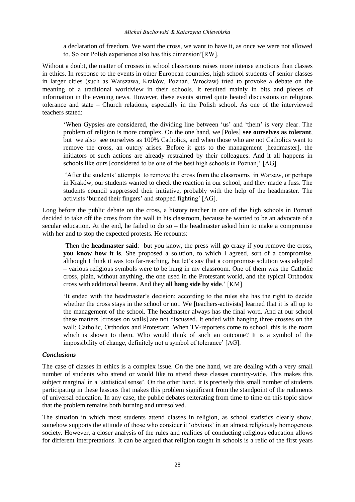#### *Michał Buchowski & Katarzyna Chlewińska*

a declaration of freedom. We want the cross, we want to have it, as once we were not allowed to. So our Polish experience also has this dimension'[RW].

Without a doubt, the matter of crosses in school classrooms raises more intense emotions than classes in ethics. In response to the events in other European countries, high school students of senior classes in larger cities (such as Warszawa, Kraków, Poznań, Wrocław) tried to provoke a debate on the meaning of a traditional worldview in their schools. It resulted mainly in bits and pieces of information in the evening news. However, these events stirred quite heated discussions on religious tolerance and state – Church relations, especially in the Polish school. As one of the interviewed teachers stated:

'When Gypsies are considered, the dividing line between 'us' and 'them' is very clear. The problem of religion is more complex. On the one hand, we [Poles] **see ourselves as tolerant**, but we also see ourselves as 100% Catholics, and when those who are not Catholics want to remove the cross, an outcry arises. Before it gets to the management [headmaster], the initiators of such actions are already restrained by their colleagues. And it all happens in schools like ours [considered to be one of the best high schools in Poznan]' [AG].

'After the students' attempts to remove the cross from the classrooms in Warsaw, or perhaps in Kraków, our students wanted to check the reaction in our school, and they made a fuss. The students council suppressed their initiative, probably with the help of the headmaster. The activists 'burned their fingers' and stopped fighting' [AG].

Long before the public debate on the cross, a history teacher in one of the high schools in Poznań decided to take off the cross from the wall in his classroom, because he wanted to be an advocate of a secular education. At the end, he failed to do so – the headmaster asked him to make a compromise with her and to stop the expected protests. He recounts:

*'*Then the **headmaster said***:* but you know, the press will go crazy if you remove the cross, **you know how it is**. She proposed a solution, to which I agreed, sort of a compromise, although I think it was too far-reaching, but let's say that a compromise solution was adopted – various religious symbols were to be hung in my classroom. One of them was the Catholic cross, plain, without anything, the one used in the Protestant world, and the typical Orthodox cross with additional beams. And they **all hang side by side**.' [KM]

'It ended with the headmaster's decision; according to the rules she has the right to decide whether the cross stays in the school or not. We [teachers-activists] learned that it is all up to the management of the school. The headmaster always has the final word. And at our school these matters [crosses on walls] are not discussed. It ended with hanging three crosses on the wall: Catholic, Orthodox and Protestant. When TV-reporters come to school, this is the room which is shown to them. Who would think of such an outcome? It is a symbol of the impossibility of change, definitely not a symbol of tolerance' [AG].

#### *Conclusions*

The case of classes in ethics is a complex issue. On the one hand, we are dealing with a very small number of students who attend or would like to attend these classes country-wide. This makes this subject marginal in a 'statistical sense'. On the other hand, it is precisely this small number of students participating in these lessons that makes this problem significant from the standpoint of the rudiments of universal education. In any case, the public debates reiterating from time to time on this topic show that the problem remains both burning and unresolved.

The situation in which most students attend classes in religion, as school statistics clearly show, somehow supports the attitude of those who consider it 'obvious' in an almost religiously homogenous society. However, a closer analysis of the rules and realities of conducting religious education allows for different interpretations. It can be argued that religion taught in schools is a relic of the first years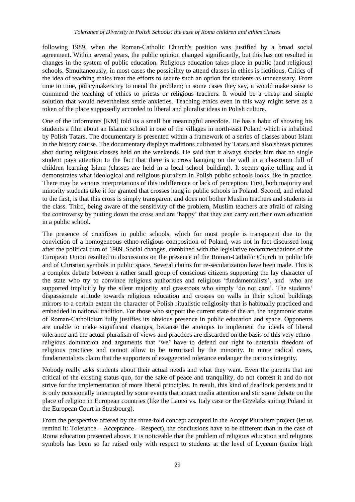following 1989, when the Roman-Catholic Church's position was justified by a broad social agreement. Within several years, the public opinion changed significantly, but this has not resulted in changes in the system of public education. Religious education takes place in public (and religious) schools. Simultaneously, in most cases the possibility to attend classes in ethics is fictitious. Critics of the idea of teaching ethics treat the efforts to secure such an option for students as unnecessary. From time to time, policymakers try to mend the problem; in some cases they say, it would make sense to commend the teaching of ethics to priests or religious teachers. It would be a cheap and simple solution that would nevertheless settle anxieties. Teaching ethics even in this way might serve as a token of the place supposedly accorded to liberal and pluralist ideas in Polish culture.

One of the informants [KM] told us a small but meaningful anecdote. He has a habit of showing his students a film about an Islamic school in one of the villages in north-east Poland which is inhabited by Polish Tatars. The documentary is presented within a framework of a series of classes about Islam in the history course. The documentary displays traditions cultivated by Tatars and also shows pictures shot during religious classes held on the weekends. He said that it always shocks him that no single student pays attention to the fact that there is a cross hanging on the wall in a classroom full of children learning Islam (classes are held in a local school building). It seems quite telling and it demonstrates what ideological and religious pluralism in Polish public schools looks like in practice. There may be various interpretations of this indifference or lack of perception. First, both majority and minority students take it for granted that crosses hang in public schools in Poland. Second, and related to the first, is that this cross is simply transparent and does not bother Muslim teachers and students in the class. Third, being aware of the sensitivity of the problem, Muslim teachers are afraid of raising the controversy by putting down the cross and are 'happy' that they can carry out their own education in a public school.

The presence of crucifixes in public schools, which for most people is transparent due to the conviction of a homogeneous ethno-religious composition of Poland, was not in fact discussed long after the political turn of 1989. Social changes, combined with the legislative recommendations of the European Union resulted in discussions on the presence of the Roman-Catholic Church in public life and of Christian symbols in public space. Several claims for re-secularization have been made. This is a complex debate between a rather small group of conscious citizens supporting the lay character of the state who try to convince religious authorities and religious 'fundamentalists', and who are supported implicitly by the silent majority and grassroots who simply 'do not care'. The students' dispassionate attitude towards religious education and crosses on walls in their school buildings mirrors to a certain extent the character of Polish ritualistic religiosity that is habitually practiced and embedded in national tradition. For those who support the current state of the art, the hegemonic status of Roman-Catholicism fully justifies its obvious presence in public education and space. Opponents are unable to make significant changes, because the attempts to implement the ideals of liberal tolerance and the actual pluralism of views and practices are discarded on the basis of this very ethnoreligious domination and arguments that 'we' have to defend our right to entertain freedom of religious practices and cannot allow to be terrorised by the minority. In more radical cases, fundamentalists claim that the supporters of exaggerated tolerance endanger the nations integrity.

Nobody really asks students about their actual needs and what they want. Even the parents that are critical of the existing status quo, for the sake of peace and tranquility, do not contest it and do not strive for the implementation of more liberal principles. In result, this kind of deadlock persists and it is only occasionally interrupted by some events that attract media attention and stir some debate on the place of religion in European countries (like the Lautsi vs. Italy case or the Grzelaks suiting Poland in the European Court in Strasbourg).

From the perspective offered by the three-fold concept accepted in the Accept Pluralism project (let us remind it: Tolerance – Acceptance – Respect), the conclusions have to be different than in the case of Roma education presented above. It is noticeable that the problem of religious education and religious symbols has been so far raised only with respect to students at the level of Lyceum (senior high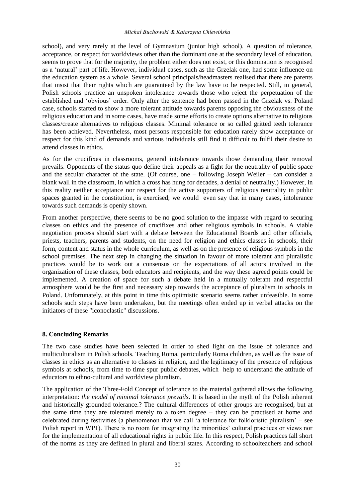#### *Michał Buchowski & Katarzyna Chlewińska*

school), and very rarely at the level of Gymnasium (junior high school). A question of tolerance, acceptance, or respect for worldviews other than the dominant one at the secondary level of education, seems to prove that for the majority, the problem either does not exist, or this domination is recognised as a 'natural' part of life. However, individual cases, such as the Grzelak one, had some influence on the education system as a whole. Several school principals/headmasters realised that there are parents that insist that their rights which are guaranteed by the law have to be respected. Still, in general, Polish schools practice an unspoken intolerance towards those who reject the perpetuation of the established and 'obvious' order. Only after the sentence had been passed in the Grzelak vs. Poland case, schools started to show a more tolerant attitude towards parents opposing the obviousness of the religious education and in some cases, have made some efforts to create options alternative to religious classes/create alternatives to religious classes. Minimal tolerance or so called gritted teeth tolerance has been achieved. Nevertheless, most persons responsible for education rarely show acceptance or respect for this kind of demands and various individuals still find it difficult to fulfil their desire to attend classes in ethics.

As for the crucifixes in classrooms, general intolerance towards those demanding their removal prevails. Opponents of the status quo define their appeals as a fight for the neutrality of public space and the secular character of the state. (Of course, one – following Joseph Weiler – can consider a blank wall in the classroom, in which a cross has hung for decades, a denial of neutrality.) However, in this reality neither acceptance nor respect for the active supporters of religious neutrality in public spaces granted in the constitution, is exercised; we would even say that in many cases, intolerance towards such demands is openly shown.

From another perspective, there seems to be no good solution to the impasse with regard to securing classes on ethics and the presence of crucifixes and other religious symbols in schools. A viable negotiation process should start with a debate between the Educational Boards and other officials, priests, teachers, parents and students, on the need for religion and ethics classes in schools, their form, content and status in the whole curriculum, as well as on the presence of religious symbols in the school premises. The next step in changing the situation in favour of more tolerant and pluralistic practices would be to work out a consensus on the expectations of all actors involved in the organization of these classes, both educators and recipients, and the way these agreed points could be implemented. A creation of space for such a debate held in a mutually tolerant and respectful atmosphere would be the first and necessary step towards the acceptance of pluralism in schools in Poland. Unfortunately, at this point in time this optimistic scenario seems rather unfeasible. In some schools such steps have been undertaken, but the meetings often ended up in verbal attacks on the initiators of these "iconoclastic" discussions.

#### **8. Concluding Remarks**

The two case studies have been selected in order to shed light on the issue of tolerance and multiculturalism in Polish schools. Teaching Roma, particularly Roma children, as well as the issue of classes in ethics as an alternative to classes in religion, and the legitimacy of the presence of religious symbols at schools, from time to time spur public debates, which help to understand the attitude of educators to ethno-cultural and worldview pluralism.

The application of the Three-Fold Concept of tolerance to the material gathered allows the following interpretation: *the model of minimal tolerance prevails*. It is based in the myth of the Polish inherent and historically grounded tolerance.? The cultural differences of other groups are recognised, but at the same time they are tolerated merely to a token degree – they can be practised at home and celebrated during festivities (a phenomenon that we call 'a tolerance for folkloristic pluralism' – see Polish report in WP1). There is no room for integrating the minorities' cultural practices or views nor for the implementation of all educational rights in public life. In this respect, Polish practices fall short of the norms as they are defined in plural and liberal states. According to schoolteachers and school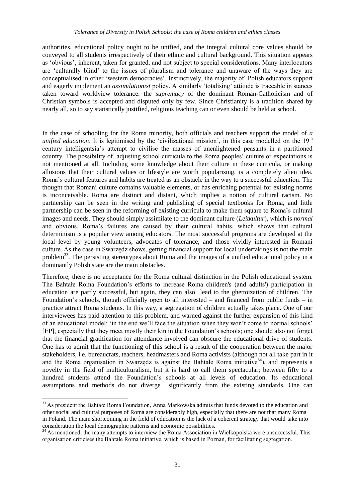authorities, educational policy ought to be unified, and the integral cultural core values should be conveyed to all students irrespectively of their ethnic and cultural background. This situation appears as 'obvious', inherent, taken for granted, and not subject to special considerations. Many interlocutors are 'culturally blind' to the issues of pluralism and tolerance and unaware of the ways they are conceptualised in other 'western democracies'. Instinctively, the majority of Polish educators support and eagerly implement an *assimilationist* policy. A similarly 'totalising' attitude is traceable in stances taken toward worldview tolerance: the *supremacy* of the dominant Roman-Catholicism and of Christian symbols is accepted and disputed only by few. Since Christianity is a tradition shared by nearly all, so to say statistically justified, religious teaching can or even should be held at school.

In the case of schooling for the Roma minority, both officials and teachers support the model of *a unified education*. It is legitimised by the 'civilizational mission', in this case modelled on the 19<sup>th</sup> century intelligentsia's attempt to civilise the masses of unenlightened peasants in a partitioned country. The possibility of adjusting school curricula to the Roma peoples' culture or expectations is not mentioned at all. Including some knowledge about their culture in these curricula, or making allusions that their cultural values or lifestyle are worth popularising, is a completely alien idea. Roma's cultural features and habits are treated as an obstacle in the way to a successful education. The thought that Romani culture contains valuable elements, or has enriching potential for existing norms is inconceivable. Roma are distinct and distant, which implies a notion of cultural racism. No partnership can be seen in the writing and publishing of special textbooks for Roma, and little partnership can be seen in the reforming of existing curricula to make them square to Roma's cultural images and needs. They should simply assimilate to the dominant culture (*Leitkultur*), which is *normal* and obvious. Roma's failures are caused by their cultural habits, which shows that cultural determinism is a popular view among educators. The most successful programs are developed at the local level by young volunteers, advocates of tolerance, and those vividly interested in Romani culture. As the case in Swarzędz shows, getting financial support for local undertakings is not the main problem<sup>33</sup>. The persisting stereotypes about Roma and the images of a unified educational policy in a dominantly Polish state are the main obstacles.

Therefore, there is no acceptance for the Roma cultural distinction in the Polish educational system. The Bahtałe Roma Foundation's efforts to increase Roma children's (and adults') participation in education are partly successful, but again, they can also lead to the ghettoization of children. The Foundation's schools, though officially open to all interested – and financed from public funds – in practice attract Roma students. In this way, a segregation of children actually takes place. One of our interviewees has paid attention to this problem, and warned against the further expansion of this kind of an educational model: 'in the end we'll face the situation when they won't come to normal schools' [EP], especially that they meet mostly their kin in the Foundation's schools; one should also not forget that the financial gratification for attendance involved can obscure the educational drive of students. One has to admit that the functioning of this school is a result of the cooperation between the major stakeholders, i.e. bureaucrats, teachers, headmasters and Roma activists (although not all take part in it and the Roma organisation in Swarzedz is against the Bahtałe Roma initiative<sup>34</sup>), and represents a novelty in the field of multiculturalism, but it is hard to call them spectacular; between fifty to a hundred students attend the Foundation's schools at all levels of education. Its educational assumptions and methods do not diverge significantly from the existing standards. One can

l

<sup>&</sup>lt;sup>33</sup> As president the Bahtałe Roma Foundation, Anna Markowska admits that funds devoted to the education and other social and cultural purposes of Roma are considerably high, especially that there are not that many Roma in Poland. The main shortcoming in the field of education is the lack of a coherent strategy that would take into consideration the local demographic patterns and economic possibilities.

<sup>&</sup>lt;sup>34</sup> As mentioned, the many attempts to interview the Roma Association in Wielkopolska were unsuccessful. This organisation criticises the Bahtałe Roma initiative, which is based in Poznań, for facilitating segregation.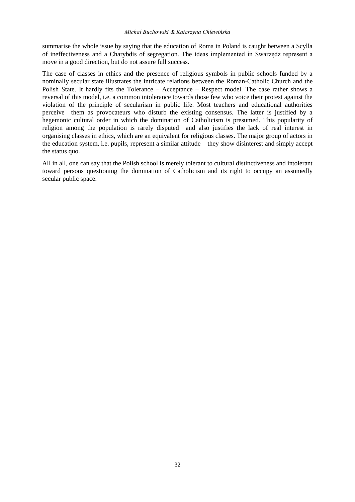summarise the whole issue by saying that the education of Roma in Poland is caught between a Scylla of ineffectiveness and a Charybdis of segregation. The ideas implemented in Swarzędz represent a move in a good direction, but do not assure full success.

The case of classes in ethics and the presence of religious symbols in public schools funded by a nominally secular state illustrates the intricate relations between the Roman-Catholic Church and the Polish State. It hardly fits the Tolerance – Acceptance – Respect model. The case rather shows a reversal of this model, i.e. a common intolerance towards those few who voice their protest against the violation of the principle of secularism in public life. Most teachers and educational authorities perceive them as provocateurs who disturb the existing consensus. The latter is justified by a hegemonic cultural order in which the domination of Catholicism is presumed. This popularity of religion among the population is rarely disputed and also justifies the lack of real interest in organising classes in ethics, which are an equivalent for religious classes. The major group of actors in the education system, i.e. pupils, represent a similar attitude – they show disinterest and simply accept the status quo.

All in all, one can say that the Polish school is merely tolerant to cultural distinctiveness and intolerant toward persons questioning the domination of Catholicism and its right to occupy an assumedly secular public space.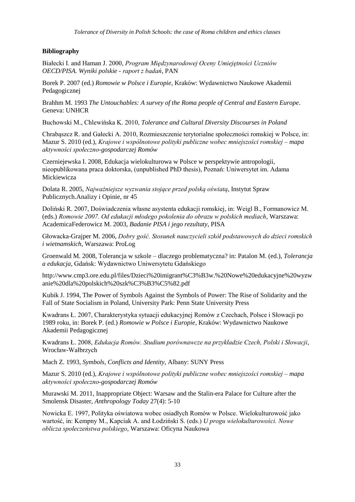## **Bibliography**

Białecki I. and Haman J. 2000, *Program Międzynarodowej Oceny Umiejętności Uczniów OECD/PISA. Wyniki polskie - raport z badań*, PAN

Borek P. 2007 (ed.) *Romowie w Polsce i Europie*, Kraków: Wydawnictwo Naukowe Akademii Pedagogicznej

Brahhm M. 1993 *The Untouchables: A survey of the Roma people of Central and Eastern Europe*. Geneva: UNHCR

Buchowski M., Chlewińska K. 2010, *Tolerance and Cultural Diversity Discourses in Poland*

Chrabąszcz R. and Gałecki A. 2010, Rozmieszczenie terytorialne społeczności romskiej w Polsce, in: Mazur S. 2010 (ed.), *Krajowe i wspólnotowe polityki publiczne wobec mniejszości romskiej – mapa aktywności społeczno-gospodarczej Romów*

Czerniejewska I. 2008, Edukacja wielokulturowa w Polsce w perspektywie antropologii, nieopublikowana praca doktorska, (unpublished PhD thesis), Poznań: Uniwersytet im. Adama Mickiewicza

Dolata R. 2005, *Najważniejsze wyzwania stojące przed polską oświatą*, Instytut Spraw Publicznych.Analizy i Opinie, nr 45

Doliński R. 2007, Doświadczenia własne asystenta edukacji romskiej, in: Weigl B., Formanowicz M. (eds.) *Romowie 2007. Od edukacji młodego pokolenia do obrazu w polskich mediach*, Warszawa: AcademicaFederowicz M. 2003, *Badanie PISA i jego rezultaty*, PISA

Głowacka-Grajper M. 2006, *Dobry gość. Stosunek nauczycieli szkół podstawowych do dzieci romskich i wietnamskich*, Warszawa: ProLog

Groenwald M. 2008, Tolerancja w szkole – dlaczego problematyczna? in: Patalon M. (ed.), *Tolerancja a edukacja*, Gdańsk: Wydawnictwo Uniwersytetu Gdańskiego

[http://www.cmp3.ore.edu.pl/files/Dzieci%20imigrant%C3%B3w.%20Nowe%20edukacyjne%20wyzw](http://www.cmp3.ore.edu.pl/files/Dzieci%20imigrantów.%20Nowe%20edukacyjne%20wyzwanie%20dla%20polskich%20szkół.pdf) [anie%20dla%20polskich%20szk%C3%B3%C5%82.pdf](http://www.cmp3.ore.edu.pl/files/Dzieci%20imigrantów.%20Nowe%20edukacyjne%20wyzwanie%20dla%20polskich%20szkół.pdf)

Kubik J. 1994, The Power of Symbols Against the Symbols of Power: The Rise of Solidarity and the Fall of State Socialism in Poland, University Park: Penn State University Press

Kwadrans Ł. 2007, Charakterystyka sytuacji edukacyjnej Romów z Czechach, Polsce i Słowacji po 1989 roku, in: Borek P. (ed.) *Romowie w Polsce i Europie*, Kraków: Wydawnictwo Naukowe Akademii Pedagogicznej

Kwadrans Ł. 2008, *Edukacja Romów. Studium porównawcze na przykładzie Czech, Polski i Słowacji*, Wrocław-Wałbrzych

Mach Z. 1993, *Symbols, Conflicts and Identity*, Albany: SUNY Press

Mazur S. 2010 (ed.), *Krajowe i wspólnotowe polityki publiczne wobec mniejszości romskiej – mapa aktywności społeczno-gospodarczej Romów*

Murawski M. 2011, Inappropriate Object: Warsaw and the Stalin-era Palace for Culture after the Smolensk Disaster, *Anthropology Today* 27(4): 5-10

Nowicka E. 1997, Polityka oświatowa wobec osiadłych Romów w Polsce. Wielokulturowość jako wartość, in: Kempny M., Kapciak A. and Łodziński S. (eds.) *U progu wielokulturowości. Nowe oblicza społeczeństwa polskiego*, Warszawa: Oficyna Naukowa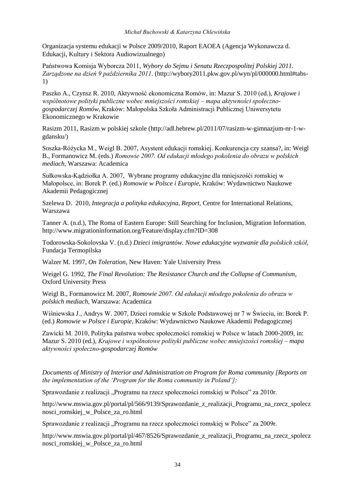Organizacja systemu edukacji w Polsce 2009/2010, Raport EAOEA (Agencja Wykonawcza d. Edukacji, Kultury i Sektora Audiowizualnego)

Państwowa Komisja Wyborcza 2011, *Wybory do Sejmu i Senatu Rzeczpospolitej Polskiej 2011. Zarządzone na dzień 9 października 2011*. [\(http://wybory2011.pkw.gov.pl/wyn/pl/000000.html#tabs-](http://wybory2011.pkw.gov.pl/wyn/pl/000000.html#tabs-1)[1\)](http://wybory2011.pkw.gov.pl/wyn/pl/000000.html#tabs-1)

Paszko A., Czynsz R. 2010, Aktywność ekonomiczna Romów, in: Mazur S. 2010 (ed.), *Krajowe i wspólnotowe polityki publiczne wobec mniejszości romskiej – mapa aktywności społecznogospodarczej Romów*, Kraków: Małopolska Szkoła Administracji Publicznej Uniwersytetu Ekonomicznego w Krakowie

Rasizm 2011, Rasizm w polskiej szkole [\(http://adl.hebrew.pl/2011/07/rasizm-w-gimnazjum-nr-1-w](http://adl.hebrew.pl/2011/07/rasizm-w-gimnazjum-nr-1-w-gdansku/)[gdansku/\)](http://adl.hebrew.pl/2011/07/rasizm-w-gimnazjum-nr-1-w-gdansku/)

Soszka-Różycka M., Weigl B. 2007, Asystent edukacji romskiej. Konkurencja czy szansa?, in: Weigl B., Formanowicz M. (eds.) *Romowie 2007. Od edukacji młodego pokolenia do obrazu w polskich mediach*, Warszawa: Academica

Sułkowska-Kądziołka A. 2007, Wybrane programy edukacyjne dla mniejszośći romskiej w Małopolsce, in: Borek P. (ed.) *Romowie w Polsce i Europie*, Kraków: Wydawnictwo Naukowe Akademii Pedagogicznej

Szelewa D. 2010, *Integracja a polityka edukacyjna, Report*, Centre for International Relations, Warszawa

Tanner A. (n.d.), The Roma of Eastern Europe: Still Searching for Inclusion, Migration Information. <http://www.migrationinformation.org/Feature/display.cfm?ID=308>

Todorowska-Sokolovska V. (n.d.) *Dzieci imigrantów. Nowe edukacyjne wyzwanie dla polskich szkół*, Fundacja Termopilska

Walzer M. 1997, *On Toleration*, New Haven: Yale University Press

Weigel G. 1992, *The Final Revolution: The Resistance Church and the Collapse of Communism*, Oxford University Press

Weigl B., Formanowicz M. 2007, *Romowie 2007. Od edukacji młodego pokolenia do obrazu w polskich mediach*, Warszawa: Academica

Wiśniewska J., Andrys W. 2007, Dzieci romskie w Szkole Podstawowej nr 7 w Świeciu, in: Borek P. (ed.) *Romowie w Polsce i Europie*, Kraków: Wydawnictwo Naukowe Akademii Pedagogicznej

Zawicki M. 2010, Polityka państwa wobec społeczności romskiej w Polsce w latach 2000-2009, in: Mazur S. 2010 (ed.), *Krajowe i wspólnotowe polityki publiczne wobec mniejszości romskiej – mapa aktywności społeczno-gospodarczej Romów*

*Documents of Ministry of Interior and Administration on Program for Roma community [Reports on the implementation of the 'Program for the Roma community in Poland']:*

Sprawozdanie z realizacji "Programu na rzecz społeczności romskiej w Polsce" za 2010r.

[http://www.mswia.gov.pl/portal/pl/566/9139/Sprawozdanie\\_z\\_realizacji\\_Programu\\_na\\_rzecz\\_spolecz](http://www.mswia.gov.pl/portal/pl/566/9139/Sprawozdanie_z_realizacji_Programu_na_rzecz_spolecznosci_romskiej_w_Polsce_za_ro.html) [nosci\\_romskiej\\_w\\_Polsce\\_za\\_ro.html](http://www.mswia.gov.pl/portal/pl/566/9139/Sprawozdanie_z_realizacji_Programu_na_rzecz_spolecznosci_romskiej_w_Polsce_za_ro.html)

Sprawozdanie z realizacji "Programu na rzecz społeczności romskiej w Polsce" za 2009r.

[http://www.mswia.gov.pl/portal/pl/467/8526/Sprawozdanie\\_z\\_realizacji\\_Programu\\_na\\_rzecz\\_spolecz](http://www.mswia.gov.pl/portal/pl/467/8526/Sprawozdanie_z_realizacji_Programu_na_rzecz_spolecznosci_romskiej_w_Polsce_za_ro.html) [nosci\\_romskiej\\_w\\_Polsce\\_za\\_ro.html](http://www.mswia.gov.pl/portal/pl/467/8526/Sprawozdanie_z_realizacji_Programu_na_rzecz_spolecznosci_romskiej_w_Polsce_za_ro.html)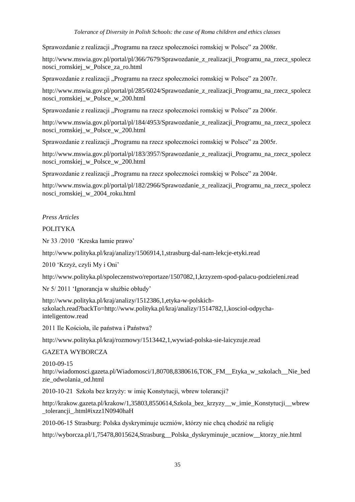#### *Tolerance of Diversity in Polish Schools: the case of Roma children and ethics classes*

Sprawozdanie z realizacji "Programu na rzecz społeczności romskiej w Polsce" za 2008r.

[http://www.mswia.gov.pl/portal/pl/366/7679/Sprawozdanie\\_z\\_realizacji\\_Programu\\_na\\_rzecz\\_spolecz](http://www.mswia.gov.pl/portal/pl/366/7679/Sprawozdanie_z_realizacji_Programu_na_rzecz_spolecznosci_romskiej_w_Polsce_za_ro.html) [nosci\\_romskiej\\_w\\_Polsce\\_za\\_ro.html](http://www.mswia.gov.pl/portal/pl/366/7679/Sprawozdanie_z_realizacji_Programu_na_rzecz_spolecznosci_romskiej_w_Polsce_za_ro.html)

Sprawozdanie z realizacji "Programu na rzecz społeczności romskiej w Polsce" za 2007r.

http://www.mswia.gov.pl/portal/pl/285/6024/Sprawozdanie z realizacji Programu na rzecz spolecz nosci\_romskiej\_w\_Polsce\_w\_200.html

Sprawozdanie z realizacji "Programu na rzecz społeczności romskiej w Polsce" za 2006r.

[http://www.mswia.gov.pl/portal/pl/184/4953/Sprawozdanie\\_z\\_realizacji\\_Programu\\_na\\_rzecz\\_spolecz](http://www.mswia.gov.pl/portal/pl/184/4953/Sprawozdanie_z_realizacji_Programu_na_rzecz_spolecznosci_romskiej_w_Polsce_w_200.html) [nosci\\_romskiej\\_w\\_Polsce\\_w\\_200.html](http://www.mswia.gov.pl/portal/pl/184/4953/Sprawozdanie_z_realizacji_Programu_na_rzecz_spolecznosci_romskiej_w_Polsce_w_200.html)

Sprawozdanie z realizacji "Programu na rzecz społeczności romskiej w Polsce" za 2005r.

http://www.mswia.gov.pl/portal/pl/183/3957/Sprawozdanie z realizacji Programu na rzecz spolecz [nosci\\_romskiej\\_w\\_Polsce\\_w\\_200.html](http://www.mswia.gov.pl/portal/pl/183/3957/Sprawozdanie_z_realizacji_Programu_na_rzecz_spolecznosci_romskiej_w_Polsce_w_200.html)

Sprawozdanie z realizacji "Programu na rzecz społeczności romskiej w Polsce" za 2004r.

[http://www.mswia.gov.pl/portal/pl/182/2966/Sprawozdanie\\_z\\_realizacji\\_Programu\\_na\\_rzecz\\_spolecz](http://www.mswia.gov.pl/portal/pl/182/2966/Sprawozdanie_z_realizacji_Programu_na_rzecz_spolecznosci_romskiej_w_2004_roku.html) [nosci\\_romskiej\\_w\\_2004\\_roku.html](http://www.mswia.gov.pl/portal/pl/182/2966/Sprawozdanie_z_realizacji_Programu_na_rzecz_spolecznosci_romskiej_w_2004_roku.html)

## *Press Articles*

## POLITYKA

Nr 33 /2010 'Kreska łamie prawo'

<http://www.polityka.pl/kraj/analizy/1506914,1,strasburg-dal-nam-lekcje-etyki.read>

2010 'Krzyż, czyli My i Oni'

<http://www.polityka.pl/spoleczenstwo/reportaze/1507082,1,krzyzem-spod-palacu-podzieleni.read>

Nr 5/ 2011 'Ignorancja w służbie obłudy'

[http://www.polityka.pl/kraj/analizy/1512386,1,etyka-w-polskich](http://www.polityka.pl/kraj/analizy/1512386,1,etyka-w-polskich-szkolach.read?backTo=http://www.polityka.pl/kraj/analizy/1514782,1,kosciol-odpycha-inteligentow.read)[szkolach.read?backTo=http://www.polityka.pl/kraj/analizy/1514782,1,kosciol-odpycha](http://www.polityka.pl/kraj/analizy/1512386,1,etyka-w-polskich-szkolach.read?backTo=http://www.polityka.pl/kraj/analizy/1514782,1,kosciol-odpycha-inteligentow.read)[inteligentow.read](http://www.polityka.pl/kraj/analizy/1512386,1,etyka-w-polskich-szkolach.read?backTo=http://www.polityka.pl/kraj/analizy/1514782,1,kosciol-odpycha-inteligentow.read)

2011 Ile Kościoła, ile państwa i Państwa?

<http://www.polityka.pl/kraj/rozmowy/1513442,1,wywiad-polska-sie-laicyzuje.read>

## GAZETA WYBORCZA

2010-09-15 [http://wiadomosci.gazeta.pl/Wiadomosci/1,80708,8380616,TOK\\_FM\\_\\_Etyka\\_w\\_szkolach\\_\\_Nie\\_bed](http://wiadomosci.gazeta.pl/Wiadomosci/1,80708,8380616,TOK_FM__Etyka_w_szkolach__Nie_bedzie_odwolania_od.html) [zie\\_odwolania\\_od.html](http://wiadomosci.gazeta.pl/Wiadomosci/1,80708,8380616,TOK_FM__Etyka_w_szkolach__Nie_bedzie_odwolania_od.html)

2010-10-21 Szkoła bez krzyży: w imię Konstytucji, wbrew tolerancji?

[http://krakow.gazeta.pl/krakow/1,35803,8550614,Szkola\\_bez\\_krzyzy\\_\\_w\\_imie\\_Konstytucji\\_\\_wbrew](http://krakow.gazeta.pl/krakow/1,35803,8550614,Szkola_bez_krzyzy__w_imie_Konstytucji__wbrew_tolerancji_.html#ixzz1N0940haH) [\\_tolerancji\\_.html#ixzz1N0940haH](http://krakow.gazeta.pl/krakow/1,35803,8550614,Szkola_bez_krzyzy__w_imie_Konstytucji__wbrew_tolerancji_.html#ixzz1N0940haH)

2010-06-15 Strasburg: Polska dyskryminuje uczniów, którzy nie chcą chodzić na religię

[http://wyborcza.pl/1,75478,8015624,Strasburg\\_\\_Polska\\_dyskryminuje\\_uczniow\\_\\_ktorzy\\_nie.html](http://wyborcza.pl/1,75478,8015624,Strasburg__Polska_dyskryminuje_uczniow__ktorzy_nie.html)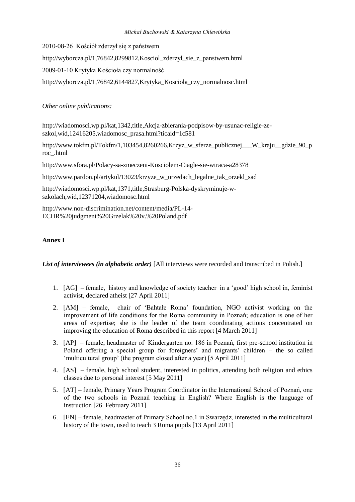2010-08-26 Kościół zderzył się z państwem

[http://wyborcza.pl/1,76842,8299812,Kosciol\\_zderzyl\\_sie\\_z\\_panstwem.html](http://wyborcza.pl/1,76842,8299812,Kosciol_zderzyl_sie_z_panstwem.html)

2009-01-10 Krytyka Kościoła czy normalność

[http://wyborcza.pl/1,76842,6144827,Krytyka\\_Kosciola\\_czy\\_normalnosc.html](http://wyborcza.pl/1,76842,6144827,Krytyka_Kosciola_czy_normalnosc.html)

*Other online publications:*

[http://wiadomosci.wp.pl/kat,1342,title,Akcja-zbierania-podpisow-by-usunac-religie-ze](http://wiadomosci.wp.pl/kat,1342,title,Akcja-zbierania-podpisow-by-usunac-religie-ze-szkol,wid,12416205,wiadomosc_prasa.html?ticaid=1c581)[szkol,wid,12416205,wiadomosc\\_prasa.html?ticaid=1c581](http://wiadomosci.wp.pl/kat,1342,title,Akcja-zbierania-podpisow-by-usunac-religie-ze-szkol,wid,12416205,wiadomosc_prasa.html?ticaid=1c581)

[http://www.tokfm.pl/Tokfm/1,103454,8260266,Krzyz\\_w\\_sferze\\_publicznej\\_\\_\\_W\\_kraju\\_\\_gdzie\\_90\\_p](http://www.tokfm.pl/Tokfm/1,103454,8260266,Krzyz_w_sferze_publicznej___W_kraju__gdzie_90_proc_.html) [roc\\_.html](http://www.tokfm.pl/Tokfm/1,103454,8260266,Krzyz_w_sferze_publicznej___W_kraju__gdzie_90_proc_.html)

<http://www.sfora.pl/Polacy-sa-zmeczeni-Kosciolem-Ciagle-sie-wtraca-a28378>

[http://www.pardon.pl/artykul/13023/krzyze\\_w\\_urzedach\\_legalne\\_tak\\_orzekl\\_sad](http://www.pardon.pl/artykul/13023/krzyze_w_urzedach_legalne_tak_orzekl_sad)

[http://wiadomosci.wp.pl/kat,1371,title,Strasburg-Polska-dyskryminuje-w](http://wiadomosci.wp.pl/kat,1371,title,Strasburg-Polska-dyskryminuje-w-szkolach,wid,12371204,wiadomosc.html)[szkolach,wid,12371204,wiadomosc.html](http://wiadomosci.wp.pl/kat,1371,title,Strasburg-Polska-dyskryminuje-w-szkolach,wid,12371204,wiadomosc.html)

[http://www.non-discrimination.net/content/media/PL-14-](http://www.non-discrimination.net/content/media/PL-14-ECHR%20judgment%20Grzelak%20v.%20Poland.pdf) [ECHR%20judgment%20Grzelak%20v.%20Poland.pdf](http://www.non-discrimination.net/content/media/PL-14-ECHR%20judgment%20Grzelak%20v.%20Poland.pdf)

## **Annex I**

List of interviewees (in alphabetic order) [All interviews were recorded and transcribed in Polish.]

- 1. [AG] female, history and knowledge of society teacher in a 'good' high school in, feminist activist, declared atheist [27 April 2011]
- 2. [AM] female, chair of 'Bahtałe Roma' foundation, NGO activist working on the improvement of life conditions for the Roma community in Poznań; education is one of her areas of expertise; she is the leader of the team coordinating actions concentrated on improving the education of Roma described in this report [4 March 2011]
- 3. [AP] female, headmaster of Kindergarten no. 186 in Poznań, first pre-school institution in Poland offering a special group for foreigners' and migrants' children – the so called 'multicultural group' (the program closed after a year) [5 April 2011]
- 4. [AS] female, high school student, interested in politics, attending both religion and ethics classes due to personal interest [5 May 2011]
- 5. [AT] female, Primary Years Program Coordinator in the International School of Poznań, one of the two schools in Poznań teaching in English? Where English is the language of instruction [26 February 2011]
- 6. [EN] female, headmaster of Primary School no.1 in Swarzędz, interested in the multicultural history of the town, used to teach 3 Roma pupils [13 April 2011]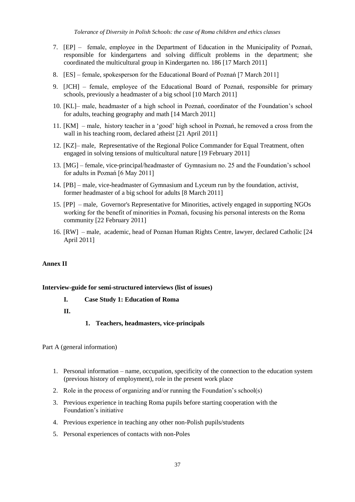- 7. [EP] female, employee in the Department of Education in the Municipality of Poznań, responsible for kindergartens and solving difficult problems in the department; she coordinated the multicultural group in Kindergarten no. 186 [17 March 2011]
- 8. [ES] female, spokesperson for the Educational Board of Poznań [7 March 2011]
- 9. [JCH] female, employee of the Educational Board of Poznań, responsible for primary schools, previously a headmaster of a big school [10 March 2011]
- 10. [KL]– male, headmaster of a high school in Poznań, coordinator of the Foundation's school for adults, teaching geography and math [14 March 2011]
- 11. [KM] male, history teacher in a 'good' high school in Poznań, he removed a cross from the wall in his teaching room, declared atheist [21 April 2011]
- 12. [KZ]– male, Representative of the Regional Police Commander for Equal Treatment, often engaged in solving tensions of multicultural nature [19 February 2011]
- 13. [MG] female, vice-principal/headmaster of Gymnasium no. 25 and the Foundation's school for adults in Poznań [6 May 2011]
- 14. [PB] male, vice-headmaster of Gymnasium and Lyceum run by the foundation, activist, former headmaster of a big school for adults [8 March 2011]
- 15. [PP] male, Governor's Representative for Minorities, actively engaged in supporting NGOs working for the benefit of minorities in Poznań, focusing his personal interests on the Roma community [22 February 2011]
- 16. [RW] male, academic, head of Poznan Human Rights Centre, lawyer, declared Catholic [24 April 2011]

## **Annex II**

#### **Interview-guide for semi-structured interviews (list of issues)**

**I. Case Study 1: Education of Roma**

#### **II.**

**1. Teachers, headmasters, vice-principals**

Part A (general information)

- 1. Personal information name, occupation, specificity of the connection to the education system (previous history of employment), role in the present work place
- 2. Role in the process of organizing and/or running the Foundation's school(s)
- 3. Previous experience in teaching Roma pupils before starting cooperation with the Foundation's initiative
- 4. Previous experience in teaching any other non-Polish pupils/students
- 5. Personal experiences of contacts with non-Poles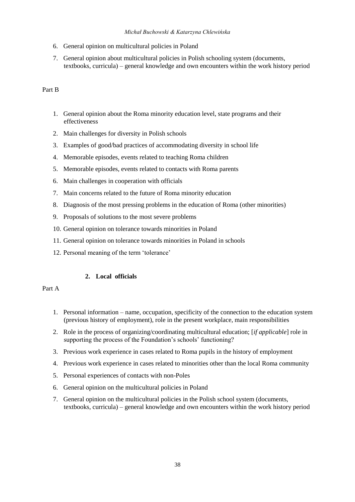#### *Michał Buchowski & Katarzyna Chlewińska*

- 6. General opinion on multicultural policies in Poland
- 7. General opinion about multicultural policies in Polish schooling system (documents, textbooks, curricula) – general knowledge and own encounters within the work history period

## Part B

- 1. General opinion about the Roma minority education level, state programs and their effectiveness
- 2. Main challenges for diversity in Polish schools
- 3. Examples of good/bad practices of accommodating diversity in school life
- 4. Memorable episodes, events related to teaching Roma children
- 5. Memorable episodes, events related to contacts with Roma parents
- 6. Main challenges in cooperation with officials
- 7. Main concerns related to the future of Roma minority education
- 8. Diagnosis of the most pressing problems in the education of Roma (other minorities)
- 9. Proposals of solutions to the most severe problems
- 10. General opinion on tolerance towards minorities in Poland
- 11. General opinion on tolerance towards minorities in Poland in schools
- 12. Personal meaning of the term 'tolerance'

## **2. Local officials**

## Part A

- 1. Personal information name, occupation, specificity of the connection to the education system (previous history of employment), role in the present workplace, main responsibilities
- 2. Role in the process of organizing/coordinating multicultural education; [*if applicable*] role in supporting the process of the Foundation's schools' functioning?
- 3. Previous work experience in cases related to Roma pupils in the history of employment
- 4. Previous work experience in cases related to minorities other than the local Roma community
- 5. Personal experiences of contacts with non-Poles
- 6. General opinion on the multicultural policies in Poland
- 7. General opinion on the multicultural policies in the Polish school system (documents, textbooks, curricula) – general knowledge and own encounters within the work history period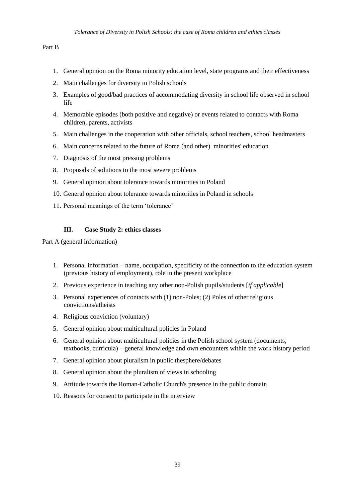## Part B

- 1. General opinion on the Roma minority education level, state programs and their effectiveness
- 2. Main challenges for diversity in Polish schools
- 3. Examples of good/bad practices of accommodating diversity in school life observed in school life
- 4. Memorable episodes (both positive and negative) or events related to contacts with Roma children, parents, activists
- 5. Main challenges in the cooperation with other officials, school teachers, school headmasters
- 6. Main concerns related to the future of Roma (and other) minorities' education
- 7. Diagnosis of the most pressing problems
- 8. Proposals of solutions to the most severe problems
- 9. General opinion about tolerance towards minorities in Poland
- 10. General opinion about tolerance towards minorities in Poland in schools
- 11. Personal meanings of the term 'tolerance'

## **III. Case Study 2: ethics classes**

Part A (general information)

- 1. Personal information name, occupation, specificity of the connection to the education system (previous history of employment), role in the present workplace
- 2. Previous experience in teaching any other non-Polish pupils/students [*if applicable*]
- 3. Personal experiences of contacts with (1) non-Poles; (2) Poles of other religious convictions/atheists
- 4. Religious conviction (voluntary)
- 5. General opinion about multicultural policies in Poland
- 6. General opinion about multicultural policies in the Polish school system (documents, textbooks, curricula) – general knowledge and own encounters within the work history period
- 7. General opinion about pluralism in public thesphere/debates
- 8. General opinion about the pluralism of views in schooling
- 9. Attitude towards the Roman-Catholic Church's presence in the public domain
- 10. Reasons for consent to participate in the interview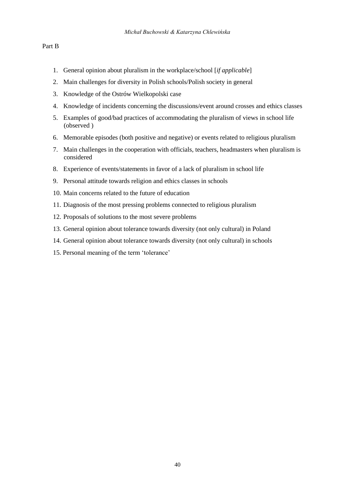#### Part B

- 1. General opinion about pluralism in the workplace/school [*if applicable*]
- 2. Main challenges for diversity in Polish schools/Polish society in general
- 3. Knowledge of the Ostrów Wielkopolski case
- 4. Knowledge of incidents concerning the discussions/event around crosses and ethics classes
- 5. Examples of good/bad practices of accommodating the pluralism of views in school life (observed )
- 6. Memorable episodes (both positive and negative) or events related to religious pluralism
- 7. Main challenges in the cooperation with officials, teachers, headmasters when pluralism is considered
- 8. Experience of events/statements in favor of a lack of pluralism in school life
- 9. Personal attitude towards religion and ethics classes in schools
- 10. Main concerns related to the future of education
- 11. Diagnosis of the most pressing problems connected to religious pluralism
- 12. Proposals of solutions to the most severe problems
- 13. General opinion about tolerance towards diversity (not only cultural) in Poland
- 14. General opinion about tolerance towards diversity (not only cultural) in schools
- 15. Personal meaning of the term 'tolerance'